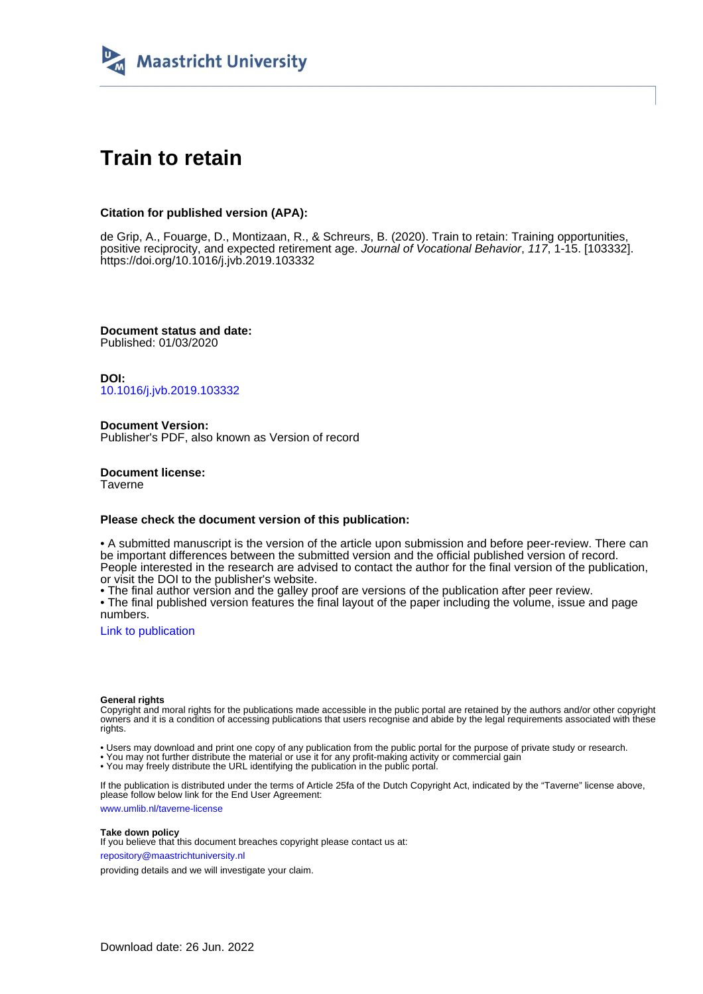

# **Train to retain**

# **Citation for published version (APA):**

de Grip, A., Fouarge, D., Montizaan, R., & Schreurs, B. (2020). Train to retain: Training opportunities, positive reciprocity, and expected retirement age. Journal of Vocational Behavior, 117, 1-15. [103332]. <https://doi.org/10.1016/j.jvb.2019.103332>

**Document status and date:** Published: 01/03/2020

**DOI:** [10.1016/j.jvb.2019.103332](https://doi.org/10.1016/j.jvb.2019.103332)

**Document Version:** Publisher's PDF, also known as Version of record

**Document license: Taverne** 

## **Please check the document version of this publication:**

• A submitted manuscript is the version of the article upon submission and before peer-review. There can be important differences between the submitted version and the official published version of record. People interested in the research are advised to contact the author for the final version of the publication, or visit the DOI to the publisher's website.

• The final author version and the galley proof are versions of the publication after peer review.

• The final published version features the final layout of the paper including the volume, issue and page numbers.

[Link to publication](https://cris.maastrichtuniversity.nl/en/publications/4f2dba19-781b-4bd3-86bd-dd0cb7977721)

### **General rights**

Copyright and moral rights for the publications made accessible in the public portal are retained by the authors and/or other copyright owners and it is a condition of accessing publications that users recognise and abide by the legal requirements associated with these rights.

• Users may download and print one copy of any publication from the public portal for the purpose of private study or research.

• You may not further distribute the material or use it for any profit-making activity or commercial gain

• You may freely distribute the URL identifying the publication in the public portal.

If the publication is distributed under the terms of Article 25fa of the Dutch Copyright Act, indicated by the "Taverne" license above, please follow below link for the End User Agreement:

www.umlib.nl/taverne-license

### **Take down policy**

If you believe that this document breaches copyright please contact us at: repository@maastrichtuniversity.nl

providing details and we will investigate your claim.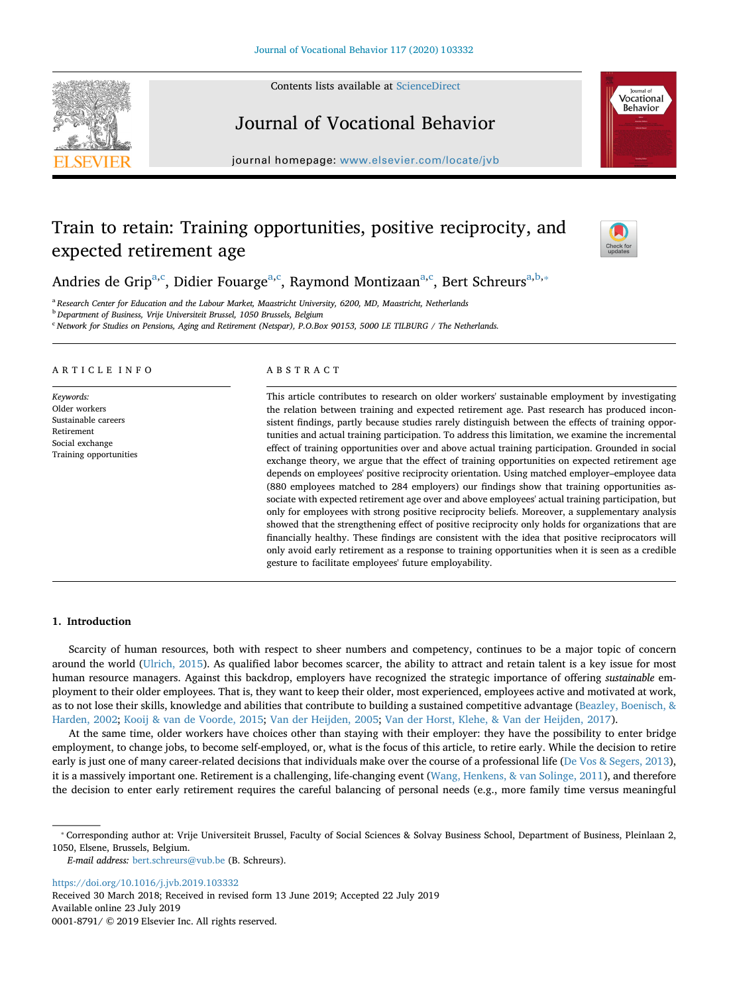Contents lists available at [ScienceDirect](http://www.sciencedirect.com/science/journal/00018791)





# Journal of Vocational Behavior

journal homepage: [www.elsevier.com/locate/jvb](https://www.elsevier.com/locate/jvb)

# Train to retain: Training opportunities, positive reciprocity, and expected retirement age



Andries de Grip<sup>[a,](#page-1-0)[c](#page-1-1)</sup>, Didier Fou[a](#page-1-0)rge<sup>a[,c](#page-1-1)</sup>, Raymond Montizaan<sup>a,c</sup>, Bert Schreurs<sup>a,[b,](#page-1-2)</sup>\*

<span id="page-1-0"></span><sup>a</sup> *Research Center for Education and the Labour Market, Maastricht University, 6200, MD, Maastricht, Netherlands*

<span id="page-1-2"></span><sup>b</sup> *Department of Business, Vrije Universiteit Brussel, 1050 Brussels, Belgium*

<span id="page-1-1"></span><sup>c</sup> *Network for Studies on Pensions, Aging and Retirement (Netspar), P.O.Box 90153, 5000 LE TILBURG / The Netherlands.*

#### ARTICLE INFO

*Keywords:* Older workers Sustainable careers Retirement Social exchange Training opportunities

#### ABSTRACT

This article contributes to research on older workers' sustainable employment by investigating the relation between training and expected retirement age. Past research has produced inconsistent findings, partly because studies rarely distinguish between the effects of training opportunities and actual training participation. To address this limitation, we examine the incremental effect of training opportunities over and above actual training participation. Grounded in social exchange theory, we argue that the effect of training opportunities on expected retirement age depends on employees' positive reciprocity orientation. Using matched employer–employee data (880 employees matched to 284 employers) our findings show that training opportunities associate with expected retirement age over and above employees' actual training participation, but only for employees with strong positive reciprocity beliefs. Moreover, a supplementary analysis showed that the strengthening effect of positive reciprocity only holds for organizations that are financially healthy. These findings are consistent with the idea that positive reciprocators will only avoid early retirement as a response to training opportunities when it is seen as a credible gesture to facilitate employees' future employability.

#### **1. Introduction**

Scarcity of human resources, both with respect to sheer numbers and competency, continues to be a major topic of concern around the world ([Ulrich, 2015\)](#page-15-0). As qualified labor becomes scarcer, the ability to attract and retain talent is a key issue for most human resource managers. Against this backdrop, employers have recognized the strategic importance of offering *sustainable* employment to their older employees. That is, they want to keep their older, most experienced, employees active and motivated at work, as to not lose their skills, knowledge and abilities that contribute to building a sustained competitive advantage ([Beazley, Boenisch, &](#page-13-0) [Harden, 2002;](#page-13-0) [Kooij & van de Voorde, 2015;](#page-14-0) [Van der Heijden, 2005;](#page-15-1) [Van der Horst, Klehe, & Van der Heijden, 2017\)](#page-15-2).

At the same time, older workers have choices other than staying with their employer: they have the possibility to enter bridge employment, to change jobs, to become self-employed, or, what is the focus of this article, to retire early. While the decision to retire early is just one of many career-related decisions that individuals make over the course of a professional life [\(De Vos & Segers, 2013](#page-13-1)), it is a massively important one. Retirement is a challenging, life-changing event ([Wang, Henkens, & van Solinge, 2011\)](#page-15-3), and therefore the decision to enter early retirement requires the careful balancing of personal needs (e.g., more family time versus meaningful

<https://doi.org/10.1016/j.jvb.2019.103332>

Received 30 March 2018; Received in revised form 13 June 2019; Accepted 22 July 2019 Available online 23 July 2019 0001-8791/ © 2019 Elsevier Inc. All rights reserved.

<span id="page-1-3"></span><sup>⁎</sup> Corresponding author at: Vrije Universiteit Brussel, Faculty of Social Sciences & Solvay Business School, Department of Business, Pleinlaan 2, 1050, Elsene, Brussels, Belgium.

*E-mail address:* [bert.schreurs@vub.be](mailto:bert.schreurs@vub.be) (B. Schreurs).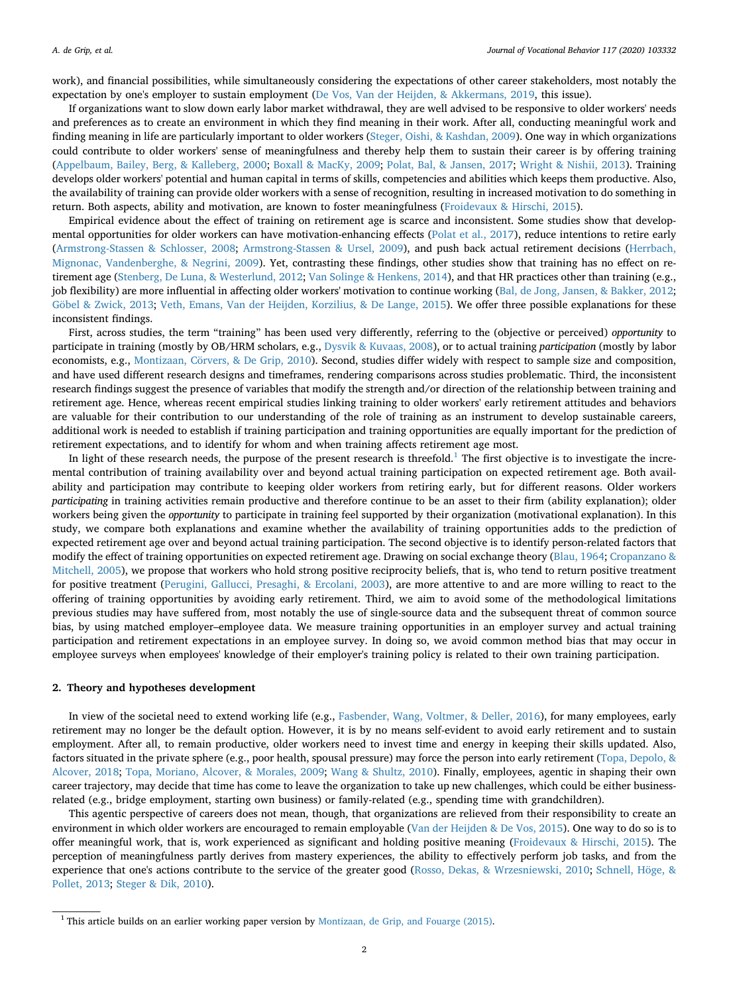work), and financial possibilities, while simultaneously considering the expectations of other career stakeholders, most notably the expectation by one's employer to sustain employment [\(De Vos, Van der Heijden, & Akkermans, 2019](#page-13-2), this issue).

If organizations want to slow down early labor market withdrawal, they are well advised to be responsive to older workers' needs and preferences as to create an environment in which they find meaning in their work. After all, conducting meaningful work and finding meaning in life are particularly important to older workers ([Steger, Oishi, & Kashdan, 2009](#page-14-1)). One way in which organizations could contribute to older workers' sense of meaningfulness and thereby help them to sustain their career is by offering training [\(Appelbaum, Bailey, Berg, & Kalleberg, 2000](#page-13-3); [Boxall & MacKy, 2009](#page-13-4); [Polat, Bal, & Jansen, 2017](#page-14-2); [Wright & Nishii, 2013](#page-15-4)). Training develops older workers' potential and human capital in terms of skills, competencies and abilities which keeps them productive. Also, the availability of training can provide older workers with a sense of recognition, resulting in increased motivation to do something in return. Both aspects, ability and motivation, are known to foster meaningfulness [\(Froidevaux & Hirschi, 2015\)](#page-14-3).

Empirical evidence about the effect of training on retirement age is scarce and inconsistent. Some studies show that developmental opportunities for older workers can have motivation-enhancing effects ([Polat et al., 2017](#page-14-2)), reduce intentions to retire early [\(Armstrong-Stassen & Schlosser, 2008;](#page-13-5) [Armstrong-Stassen & Ursel, 2009](#page-13-6)), and push back actual retirement decisions [\(Herrbach,](#page-14-4) [Mignonac, Vandenberghe, & Negrini, 2009](#page-14-4)). Yet, contrasting these findings, other studies show that training has no effect on retirement age [\(Stenberg, De Luna, & Westerlund, 2012](#page-14-5); [Van Solinge & Henkens, 2014](#page-15-5)), and that HR practices other than training (e.g., job flexibility) are more influential in affecting older workers' motivation to continue working [\(Bal, de Jong, Jansen, & Bakker, 2012](#page-13-7); [Göbel & Zwick, 2013;](#page-14-6) [Veth, Emans, Van der Heijden, Korzilius, & De Lange, 2015](#page-15-6)). We offer three possible explanations for these inconsistent findings.

First, across studies, the term "training" has been used very differently, referring to the (objective or perceived) *opportunity* to participate in training (mostly by OB/HRM scholars, e.g., [Dysvik & Kuvaas, 2008](#page-14-7)), or to actual training *participation* (mostly by labor economists, e.g., [Montizaan, Cörvers, & De Grip, 2010\)](#page-14-8). Second, studies differ widely with respect to sample size and composition, and have used different research designs and timeframes, rendering comparisons across studies problematic. Third, the inconsistent research findings suggest the presence of variables that modify the strength and/or direction of the relationship between training and retirement age. Hence, whereas recent empirical studies linking training to older workers' early retirement attitudes and behaviors are valuable for their contribution to our understanding of the role of training as an instrument to develop sustainable careers, additional work is needed to establish if training participation and training opportunities are equally important for the prediction of retirement expectations, and to identify for whom and when training affects retirement age most.

In light of these research needs, the purpose of the present research is threefold.<sup>[1](#page-2-0)</sup> The first objective is to investigate the incremental contribution of training availability over and beyond actual training participation on expected retirement age. Both availability and participation may contribute to keeping older workers from retiring early, but for different reasons. Older workers *participating* in training activities remain productive and therefore continue to be an asset to their firm (ability explanation); older workers being given the *opportunity* to participate in training feel supported by their organization (motivational explanation). In this study, we compare both explanations and examine whether the availability of training opportunities adds to the prediction of expected retirement age over and beyond actual training participation. The second objective is to identify person-related factors that modify the effect of training opportunities on expected retirement age. Drawing on social exchange theory ([Blau, 1964;](#page-13-8) [Cropanzano &](#page-13-9) [Mitchell, 2005\)](#page-13-9), we propose that workers who hold strong positive reciprocity beliefs, that is, who tend to return positive treatment for positive treatment ([Perugini, Gallucci, Presaghi, & Ercolani, 2003\)](#page-14-9), are more attentive to and are more willing to react to the offering of training opportunities by avoiding early retirement. Third, we aim to avoid some of the methodological limitations previous studies may have suffered from, most notably the use of single-source data and the subsequent threat of common source bias, by using matched employer–employee data. We measure training opportunities in an employer survey and actual training participation and retirement expectations in an employee survey. In doing so, we avoid common method bias that may occur in employee surveys when employees' knowledge of their employer's training policy is related to their own training participation.

#### **2. Theory and hypotheses development**

In view of the societal need to extend working life (e.g., [Fasbender, Wang, Voltmer, & Deller, 2016\)](#page-14-10), for many employees, early retirement may no longer be the default option. However, it is by no means self-evident to avoid early retirement and to sustain employment. After all, to remain productive, older workers need to invest time and energy in keeping their skills updated. Also, factors situated in the private sphere (e.g., poor health, spousal pressure) may force the person into early retirement ([Topa, Depolo, &](#page-14-11) [Alcover, 2018;](#page-14-11) [Topa, Moriano, Alcover, & Morales, 2009](#page-14-12); [Wang & Shultz, 2010](#page-15-7)). Finally, employees, agentic in shaping their own career trajectory, may decide that time has come to leave the organization to take up new challenges, which could be either businessrelated (e.g., bridge employment, starting own business) or family-related (e.g., spending time with grandchildren).

This agentic perspective of careers does not mean, though, that organizations are relieved from their responsibility to create an environment in which older workers are encouraged to remain employable [\(Van der Heijden & De Vos, 2015\)](#page-15-8). One way to do so is to offer meaningful work, that is, work experienced as significant and holding positive meaning ([Froidevaux & Hirschi, 2015\)](#page-14-3). The perception of meaningfulness partly derives from mastery experiences, the ability to effectively perform job tasks, and from the experience that one's actions contribute to the service of the greater good ([Rosso, Dekas, & Wrzesniewski, 2010;](#page-14-13) [Schnell, Höge, &](#page-14-14) [Pollet, 2013](#page-14-14); [Steger & Dik, 2010\)](#page-14-15).

<span id="page-2-0"></span> $1$  This article builds on an earlier working paper version by [Montizaan, de Grip, and Fouarge \(2015\).](#page-14-16)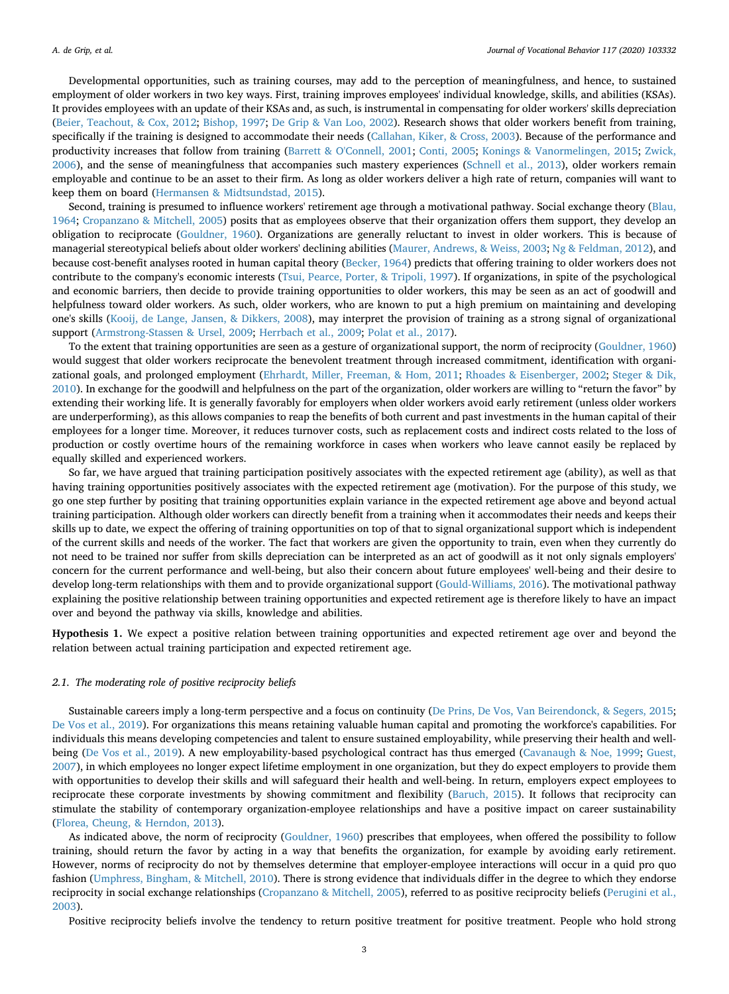Developmental opportunities, such as training courses, may add to the perception of meaningfulness, and hence, to sustained employment of older workers in two key ways. First, training improves employees' individual knowledge, skills, and abilities (KSAs). It provides employees with an update of their KSAs and, as such, is instrumental in compensating for older workers' skills depreciation [\(Beier, Teachout, & Cox, 2012;](#page-13-10) [Bishop, 1997](#page-13-11); [De Grip & Van Loo, 2002\)](#page-13-12). Research shows that older workers benefit from training, specifically if the training is designed to accommodate their needs [\(Callahan, Kiker, & Cross, 2003\)](#page-13-13). Because of the performance and productivity increases that follow from training [\(Barrett & O'Connell, 2001](#page-13-14); [Conti, 2005](#page-13-15); [Konings & Vanormelingen, 2015;](#page-14-17) [Zwick,](#page-15-9) [2006\)](#page-15-9), and the sense of meaningfulness that accompanies such mastery experiences ([Schnell et al., 2013](#page-14-14)), older workers remain employable and continue to be an asset to their firm. As long as older workers deliver a high rate of return, companies will want to keep them on board [\(Hermansen & Midtsundstad, 2015\)](#page-14-18).

Second, training is presumed to influence workers' retirement age through a motivational pathway. Social exchange theory [\(Blau,](#page-13-8) [1964;](#page-13-8) [Cropanzano & Mitchell, 2005](#page-13-9)) posits that as employees observe that their organization offers them support, they develop an obligation to reciprocate ([Gouldner, 1960](#page-14-19)). Organizations are generally reluctant to invest in older workers. This is because of managerial stereotypical beliefs about older workers' declining abilities ([Maurer, Andrews, & Weiss, 2003;](#page-14-20) [Ng & Feldman, 2012\)](#page-14-21), and because cost-benefit analyses rooted in human capital theory [\(Becker, 1964](#page-13-16)) predicts that offering training to older workers does not contribute to the company's economic interests ([Tsui, Pearce, Porter, & Tripoli, 1997\)](#page-14-22). If organizations, in spite of the psychological and economic barriers, then decide to provide training opportunities to older workers, this may be seen as an act of goodwill and helpfulness toward older workers. As such, older workers, who are known to put a high premium on maintaining and developing one's skills ([Kooij, de Lange, Jansen, & Dikkers, 2008](#page-14-23)), may interpret the provision of training as a strong signal of organizational support [\(Armstrong-Stassen & Ursel, 2009;](#page-13-6) [Herrbach et al., 2009](#page-14-4); [Polat et al., 2017](#page-14-2)).

To the extent that training opportunities are seen as a gesture of organizational support, the norm of reciprocity [\(Gouldner, 1960](#page-14-19)) would suggest that older workers reciprocate the benevolent treatment through increased commitment, identification with organizational goals, and prolonged employment ([Ehrhardt, Miller, Freeman, & Hom, 2011;](#page-14-24) [Rhoades & Eisenberger, 2002;](#page-14-25) [Steger & Dik,](#page-14-15) [2010\)](#page-14-15). In exchange for the goodwill and helpfulness on the part of the organization, older workers are willing to "return the favor" by extending their working life. It is generally favorably for employers when older workers avoid early retirement (unless older workers are underperforming), as this allows companies to reap the benefits of both current and past investments in the human capital of their employees for a longer time. Moreover, it reduces turnover costs, such as replacement costs and indirect costs related to the loss of production or costly overtime hours of the remaining workforce in cases when workers who leave cannot easily be replaced by equally skilled and experienced workers.

So far, we have argued that training participation positively associates with the expected retirement age (ability), as well as that having training opportunities positively associates with the expected retirement age (motivation). For the purpose of this study, we go one step further by positing that training opportunities explain variance in the expected retirement age above and beyond actual training participation. Although older workers can directly benefit from a training when it accommodates their needs and keeps their skills up to date, we expect the offering of training opportunities on top of that to signal organizational support which is independent of the current skills and needs of the worker. The fact that workers are given the opportunity to train, even when they currently do not need to be trained nor suffer from skills depreciation can be interpreted as an act of goodwill as it not only signals employers' concern for the current performance and well-being, but also their concern about future employees' well-being and their desire to develop long-term relationships with them and to provide organizational support [\(Gould-Williams, 2016](#page-14-26)). The motivational pathway explaining the positive relationship between training opportunities and expected retirement age is therefore likely to have an impact over and beyond the pathway via skills, knowledge and abilities.

<span id="page-3-0"></span>**Hypothesis 1.** We expect a positive relation between training opportunities and expected retirement age over and beyond the relation between actual training participation and expected retirement age.

#### *2.1. The moderating role of positive reciprocity beliefs*

Sustainable careers imply a long-term perspective and a focus on continuity [\(De Prins, De Vos, Van Beirendonck, & Segers, 2015](#page-13-17); [De Vos et al., 2019](#page-13-2)). For organizations this means retaining valuable human capital and promoting the workforce's capabilities. For individuals this means developing competencies and talent to ensure sustained employability, while preserving their health and wellbeing [\(De Vos et al., 2019\)](#page-13-2). A new employability-based psychological contract has thus emerged ([Cavanaugh & Noe, 1999](#page-13-18); [Guest,](#page-14-27) [2007\)](#page-14-27), in which employees no longer expect lifetime employment in one organization, but they do expect employers to provide them with opportunities to develop their skills and will safeguard their health and well-being. In return, employers expect employees to reciprocate these corporate investments by showing commitment and flexibility ([Baruch, 2015\)](#page-13-19). It follows that reciprocity can stimulate the stability of contemporary organization-employee relationships and have a positive impact on career sustainability [\(Florea, Cheung, & Herndon, 2013](#page-14-28)).

As indicated above, the norm of reciprocity ([Gouldner, 1960](#page-14-19)) prescribes that employees, when offered the possibility to follow training, should return the favor by acting in a way that benefits the organization, for example by avoiding early retirement. However, norms of reciprocity do not by themselves determine that employer-employee interactions will occur in a quid pro quo fashion ([Umphress, Bingham, & Mitchell, 2010](#page-15-10)). There is strong evidence that individuals differ in the degree to which they endorse reciprocity in social exchange relationships [\(Cropanzano & Mitchell, 2005](#page-13-9)), referred to as positive reciprocity beliefs ([Perugini et al.,](#page-14-9) [2003\)](#page-14-9).

Positive reciprocity beliefs involve the tendency to return positive treatment for positive treatment. People who hold strong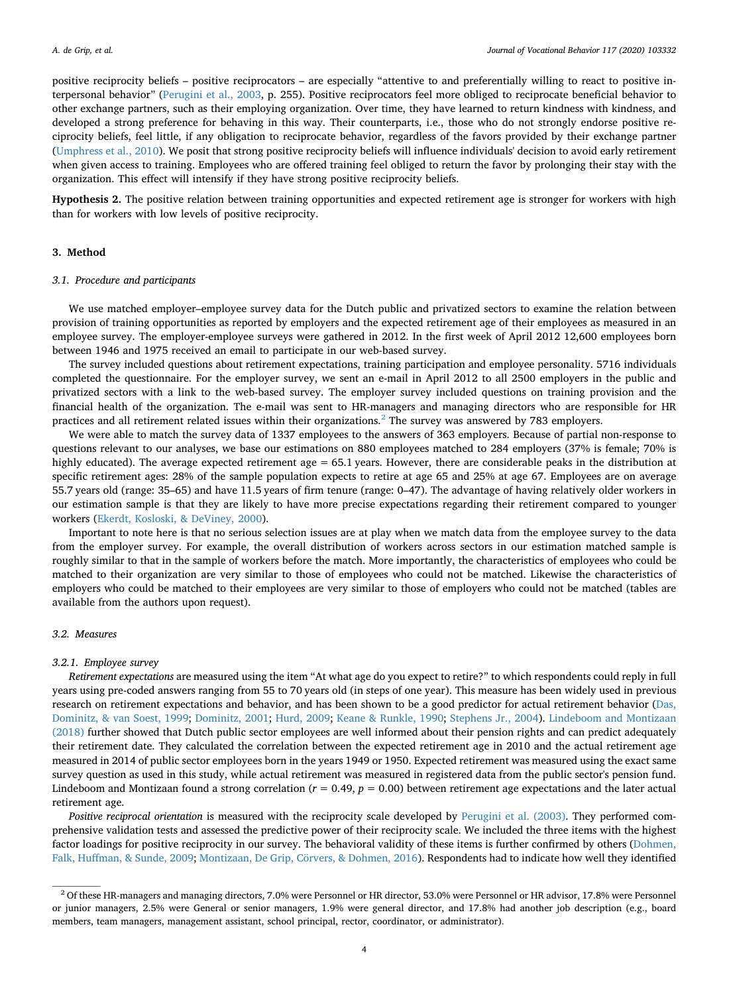positive reciprocity beliefs – positive reciprocators – are especially "attentive to and preferentially willing to react to positive interpersonal behavior" ([Perugini et al., 2003](#page-14-9), p. 255). Positive reciprocators feel more obliged to reciprocate beneficial behavior to other exchange partners, such as their employing organization. Over time, they have learned to return kindness with kindness, and developed a strong preference for behaving in this way. Their counterparts, i.e., those who do not strongly endorse positive reciprocity beliefs, feel little, if any obligation to reciprocate behavior, regardless of the favors provided by their exchange partner [\(Umphress et al., 2010\)](#page-15-10). We posit that strong positive reciprocity beliefs will influence individuals' decision to avoid early retirement when given access to training. Employees who are offered training feel obliged to return the favor by prolonging their stay with the organization. This effect will intensify if they have strong positive reciprocity beliefs.

<span id="page-4-1"></span>**Hypothesis 2.** The positive relation between training opportunities and expected retirement age is stronger for workers with high than for workers with low levels of positive reciprocity.

#### **3. Method**

#### *3.1. Procedure and participants*

We use matched employer–employee survey data for the Dutch public and privatized sectors to examine the relation between provision of training opportunities as reported by employers and the expected retirement age of their employees as measured in an employee survey. The employer-employee surveys were gathered in 2012. In the first week of April 2012 12,600 employees born between 1946 and 1975 received an email to participate in our web-based survey.

The survey included questions about retirement expectations, training participation and employee personality. 5716 individuals completed the questionnaire. For the employer survey, we sent an e-mail in April 2012 to all 2500 employers in the public and privatized sectors with a link to the web-based survey. The employer survey included questions on training provision and the financial health of the organization. The e-mail was sent to HR-managers and managing directors who are responsible for HR practices and all retirement related issues within their organizations.[2](#page-4-0) The survey was answered by 783 employers.

We were able to match the survey data of 1337 employees to the answers of 363 employers. Because of partial non-response to questions relevant to our analyses, we base our estimations on 880 employees matched to 284 employers (37% is female; 70% is highly educated). The average expected retirement age = 65.1 years. However, there are considerable peaks in the distribution at specific retirement ages: 28% of the sample population expects to retire at age 65 and 25% at age 67. Employees are on average 55.7 years old (range: 35–65) and have 11.5 years of firm tenure (range: 0–47). The advantage of having relatively older workers in our estimation sample is that they are likely to have more precise expectations regarding their retirement compared to younger workers ([Ekerdt, Kosloski, & DeViney, 2000\)](#page-14-29).

Important to note here is that no serious selection issues are at play when we match data from the employee survey to the data from the employer survey. For example, the overall distribution of workers across sectors in our estimation matched sample is roughly similar to that in the sample of workers before the match. More importantly, the characteristics of employees who could be matched to their organization are very similar to those of employees who could not be matched. Likewise the characteristics of employers who could be matched to their employees are very similar to those of employers who could not be matched (tables are available from the authors upon request).

#### *3.2. Measures*

#### *3.2.1. Employee survey*

*Retirement expectations* are measured using the item "At what age do you expect to retire?" to which respondents could reply in full years using pre-coded answers ranging from 55 to 70 years old (in steps of one year). This measure has been widely used in previous research on retirement expectations and behavior, and has been shown to be a good predictor for actual retirement behavior [\(Das,](#page-13-20) [Dominitz, & van Soest, 1999;](#page-13-20) [Dominitz, 2001](#page-14-30); [Hurd, 2009;](#page-14-31) [Keane & Runkle, 1990](#page-14-32); [Stephens Jr., 2004](#page-14-33)). [Lindeboom and Montizaan](#page-14-34) [\(2018\)](#page-14-34) further showed that Dutch public sector employees are well informed about their pension rights and can predict adequately their retirement date. They calculated the correlation between the expected retirement age in 2010 and the actual retirement age measured in 2014 of public sector employees born in the years 1949 or 1950. Expected retirement was measured using the exact same survey question as used in this study, while actual retirement was measured in registered data from the public sector's pension fund. Lindeboom and Montizaan found a strong correlation  $(r = 0.49, p = 0.00)$  between retirement age expectations and the later actual retirement age.

*Positive reciprocal orientation* is measured with the reciprocity scale developed by [Perugini et al. \(2003\).](#page-14-9) They performed comprehensive validation tests and assessed the predictive power of their reciprocity scale. We included the three items with the highest factor loadings for positive reciprocity in our survey. The behavioral validity of these items is further confirmed by others [\(Dohmen,](#page-14-35) [Falk, Huffman, & Sunde, 2009;](#page-14-35) [Montizaan, De Grip, Cörvers, & Dohmen, 2016](#page-14-36)). Respondents had to indicate how well they identified

<span id="page-4-0"></span><sup>&</sup>lt;sup>2</sup> Of these HR-managers and managing directors, 7.0% were Personnel or HR director, 53.0% were Personnel or HR advisor, 17.8% were Personnel or junior managers, 2.5% were General or senior managers, 1.9% were general director, and 17.8% had another job description (e.g., board members, team managers, management assistant, school principal, rector, coordinator, or administrator).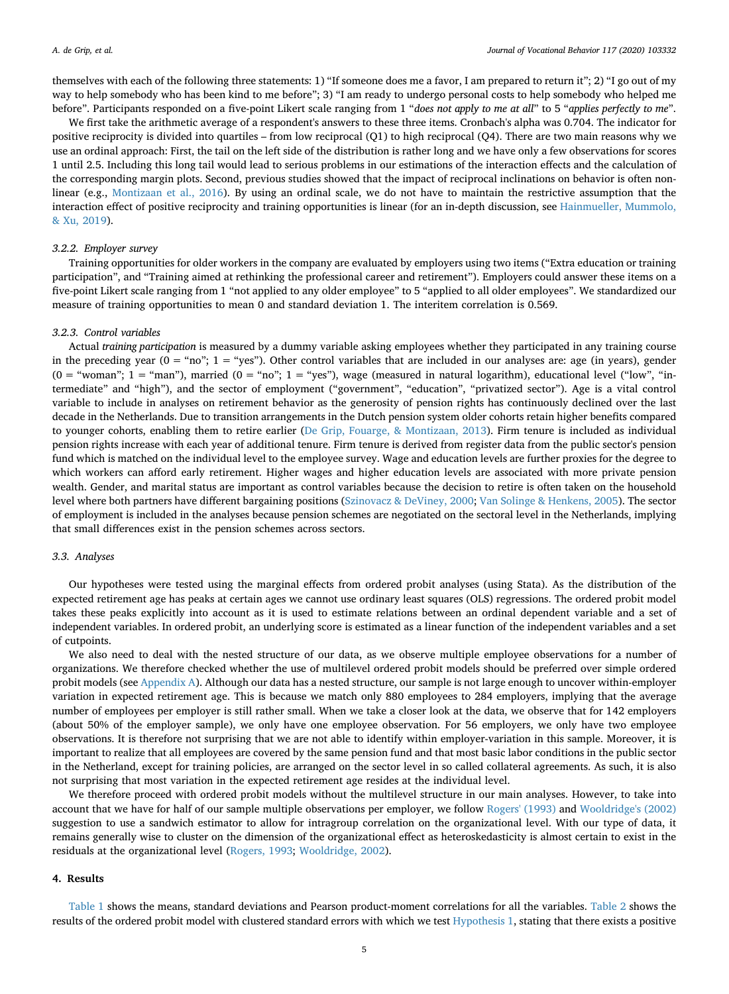themselves with each of the following three statements: 1) "If someone does me a favor, I am prepared to return it"; 2) "I go out of my way to help somebody who has been kind to me before"; 3) "I am ready to undergo personal costs to help somebody who helped me before". Participants responded on a five-point Likert scale ranging from 1 "*does not apply to me at all*" to 5 "*applies perfectly to me*".

We first take the arithmetic average of a respondent's answers to these three items. Cronbach's alpha was 0.704. The indicator for positive reciprocity is divided into quartiles – from low reciprocal (Q1) to high reciprocal (Q4). There are two main reasons why we use an ordinal approach: First, the tail on the left side of the distribution is rather long and we have only a few observations for scores 1 until 2.5. Including this long tail would lead to serious problems in our estimations of the interaction effects and the calculation of the corresponding margin plots. Second, previous studies showed that the impact of reciprocal inclinations on behavior is often nonlinear (e.g., [Montizaan et al., 2016\)](#page-14-36). By using an ordinal scale, we do not have to maintain the restrictive assumption that the interaction effect of positive reciprocity and training opportunities is linear (for an in-depth discussion, see [Hainmueller, Mummolo,](#page-14-37) [& Xu, 2019\)](#page-14-37).

#### *3.2.2. Employer survey*

Training opportunities for older workers in the company are evaluated by employers using two items ("Extra education or training participation", and "Training aimed at rethinking the professional career and retirement"). Employers could answer these items on a five-point Likert scale ranging from 1 "not applied to any older employee" to 5 "applied to all older employees". We standardized our measure of training opportunities to mean 0 and standard deviation 1. The interitem correlation is 0.569.

#### *3.2.3. Control variables*

Actual *training participation* is measured by a dummy variable asking employees whether they participated in any training course in the preceding year ( $0 = \text{``no''}; 1 = \text{``yes''}.$  Other control variables that are included in our analyses are: age (in years), gender  $(0 = "woman"; 1 = "man");$  married  $(0 = "no"; 1 = "yes");$  wage (measured in natural logarithm), educational level ("low", "intermediate" and "high"), and the sector of employment ("government", "education", "privatized sector"). Age is a vital control variable to include in analyses on retirement behavior as the generosity of pension rights has continuously declined over the last decade in the Netherlands. Due to transition arrangements in the Dutch pension system older cohorts retain higher benefits compared to younger cohorts, enabling them to retire earlier ([De Grip, Fouarge, & Montizaan, 2013](#page-13-21)). Firm tenure is included as individual pension rights increase with each year of additional tenure. Firm tenure is derived from register data from the public sector's pension fund which is matched on the individual level to the employee survey. Wage and education levels are further proxies for the degree to which workers can afford early retirement. Higher wages and higher education levels are associated with more private pension wealth. Gender, and marital status are important as control variables because the decision to retire is often taken on the household level where both partners have different bargaining positions ([Szinovacz & DeViney, 2000](#page-14-38); [Van Solinge & Henkens, 2005\)](#page-15-11). The sector of employment is included in the analyses because pension schemes are negotiated on the sectoral level in the Netherlands, implying that small differences exist in the pension schemes across sectors.

#### *3.3. Analyses*

Our hypotheses were tested using the marginal effects from ordered probit analyses (using Stata). As the distribution of the expected retirement age has peaks at certain ages we cannot use ordinary least squares (OLS) regressions. The ordered probit model takes these peaks explicitly into account as it is used to estimate relations between an ordinal dependent variable and a set of independent variables. In ordered probit, an underlying score is estimated as a linear function of the independent variables and a set of cutpoints.

We also need to deal with the nested structure of our data, as we observe multiple employee observations for a number of organizations. We therefore checked whether the use of multilevel ordered probit models should be preferred over simple ordered probit models (see [Appendix A](#page-12-0)). Although our data has a nested structure, our sample is not large enough to uncover within-employer variation in expected retirement age. This is because we match only 880 employees to 284 employers, implying that the average number of employees per employer is still rather small. When we take a closer look at the data, we observe that for 142 employers (about 50% of the employer sample), we only have one employee observation. For 56 employers, we only have two employee observations. It is therefore not surprising that we are not able to identify within employer-variation in this sample. Moreover, it is important to realize that all employees are covered by the same pension fund and that most basic labor conditions in the public sector in the Netherland, except for training policies, are arranged on the sector level in so called collateral agreements. As such, it is also not surprising that most variation in the expected retirement age resides at the individual level.

We therefore proceed with ordered probit models without the multilevel structure in our main analyses. However, to take into account that we have for half of our sample multiple observations per employer, we follow [Rogers' \(1993\)](#page-14-39) and [Wooldridge's \(2002\)](#page-15-12) suggestion to use a sandwich estimator to allow for intragroup correlation on the organizational level. With our type of data, it remains generally wise to cluster on the dimension of the organizational effect as heteroskedasticity is almost certain to exist in the residuals at the organizational level ([Rogers, 1993;](#page-14-39) [Wooldridge, 2002](#page-15-12)).

#### **4. Results**

[Table 1](#page-6-0) shows the means, standard deviations and Pearson product-moment correlations for all the variables. [Table 2](#page-7-0) shows the results of the ordered probit model with clustered standard errors with which we test [Hypothesis 1,](#page-3-0) stating that there exists a positive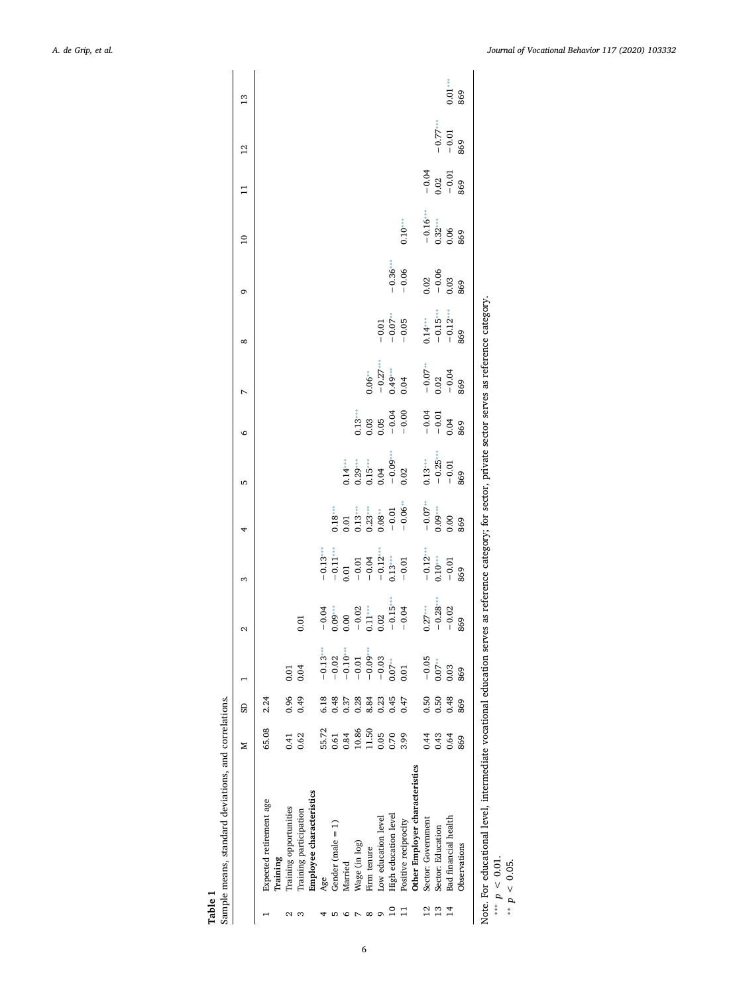<span id="page-6-2"></span><span id="page-6-1"></span><span id="page-6-0"></span>

| Table          | Sample means, standard deviations, and correlations.                                                                                                                                       |       |      |                                                                                      |          |                                                                                                                                                                                            |                                                          |                                                                    |                                                  |                                             |                                                                |                                                             |                                 |                                      |                              |               |
|----------------|--------------------------------------------------------------------------------------------------------------------------------------------------------------------------------------------|-------|------|--------------------------------------------------------------------------------------|----------|--------------------------------------------------------------------------------------------------------------------------------------------------------------------------------------------|----------------------------------------------------------|--------------------------------------------------------------------|--------------------------------------------------|---------------------------------------------|----------------------------------------------------------------|-------------------------------------------------------------|---------------------------------|--------------------------------------|------------------------------|---------------|
|                |                                                                                                                                                                                            | z     | GS   |                                                                                      | $\sim$   | 3                                                                                                                                                                                          | 4                                                        | 5                                                                  | $\circ$                                          | $\overline{ }$                              | ∞                                                              | G                                                           | $\overline{10}$                 | $\Xi$                                | $\overline{12}$              | $\frac{3}{2}$ |
|                | Expected retirement age<br>Training                                                                                                                                                        | 65.08 | 2.24 |                                                                                      |          |                                                                                                                                                                                            |                                                          |                                                                    |                                                  |                                             |                                                                |                                                             |                                 |                                      |                              |               |
|                | Training opportunities                                                                                                                                                                     | 0.41  | 0.96 | 0.01                                                                                 |          |                                                                                                                                                                                            |                                                          |                                                                    |                                                  |                                             |                                                                |                                                             |                                 |                                      |                              |               |
| S              | Training participation                                                                                                                                                                     | 0.62  | 0.49 | 0.04                                                                                 | $0.01\,$ |                                                                                                                                                                                            |                                                          |                                                                    |                                                  |                                             |                                                                |                                                             |                                 |                                      |                              |               |
|                | Employee characteristics                                                                                                                                                                   |       |      |                                                                                      |          |                                                                                                                                                                                            |                                                          |                                                                    |                                                  |                                             |                                                                |                                                             |                                 |                                      |                              |               |
|                | Age                                                                                                                                                                                        | 55.72 | 6.18 |                                                                                      |          |                                                                                                                                                                                            |                                                          |                                                                    |                                                  |                                             |                                                                |                                                             |                                 |                                      |                              |               |
| Б              | Gender (male $= 1$ )                                                                                                                                                                       | 0.61  | 0.48 | $-0.0 -$                                                                             |          |                                                                                                                                                                                            |                                                          |                                                                    |                                                  |                                             |                                                                |                                                             |                                 |                                      |                              |               |
| ۰              | Married                                                                                                                                                                                    | 0.84  | 0.37 |                                                                                      |          |                                                                                                                                                                                            |                                                          |                                                                    |                                                  |                                             |                                                                |                                                             |                                 |                                      |                              |               |
| $\overline{ }$ | Wage (in log)                                                                                                                                                                              | 10.86 | 0.28 | $-0.13$<br>$-0.02$<br>$-0.10$<br>$-0.01$<br>$-0.03$<br>$-0.03$<br>$-0.03$<br>$-0.03$ |          |                                                                                                                                                                                            |                                                          |                                                                    |                                                  |                                             |                                                                |                                                             |                                 |                                      |                              |               |
| $\infty$       | Firm tenure                                                                                                                                                                                | 11.50 | 8.84 |                                                                                      |          |                                                                                                                                                                                            |                                                          |                                                                    |                                                  |                                             |                                                                |                                                             |                                 |                                      |                              |               |
| G              | Low education level                                                                                                                                                                        | 0.05  | 0.23 |                                                                                      |          |                                                                                                                                                                                            |                                                          |                                                                    |                                                  |                                             |                                                                |                                                             |                                 |                                      |                              |               |
| $\Xi$          | High education level                                                                                                                                                                       | 0.70  | 0.45 |                                                                                      |          |                                                                                                                                                                                            |                                                          |                                                                    |                                                  |                                             |                                                                |                                                             |                                 |                                      |                              |               |
| 급              | Positive reciprocity                                                                                                                                                                       | 3.99  | 0.47 | 0.01                                                                                 |          | $\begin{array}{r} -0.13^{***} \\ -0.11^{***} \\ -0.01 \\ -0.01 \\ -0.04 \\ -0.12^{***} \\ -0.13^{***} \\ -0.12^{***} \\ -0.12^{***} \\ -0.10^{***} \\ -0.01 \\ -0.01 \\ -0.01 \end{array}$ | $0.18$<br>$0.01$<br>$0.13$<br>$0.23$<br>$0.06$<br>$0.01$ | $0.14$<br>$0.29$<br>$0.15$<br>$0.04$<br>$0.02$<br>$0.02$           | $0.13$<br>$0.03$<br>$0.05$<br>$-0.04$<br>$-0.00$ | $0.06$ **<br>- 0.27 ***<br>0.49 ***<br>0.04 | $-0.01$<br>$-0.07**$<br>$-0.05$                                | $-0.36***$                                                  | $0.10***$                       |                                      |                              |               |
|                | Other Employer characteristics                                                                                                                                                             |       |      |                                                                                      |          |                                                                                                                                                                                            |                                                          |                                                                    |                                                  |                                             |                                                                |                                                             |                                 |                                      |                              |               |
| $^{12}$        | Sector: Government                                                                                                                                                                         | 0.44  | 0.50 | $-0.05$<br>0.07 ***                                                                  |          |                                                                                                                                                                                            | $-0.07$<br>0.09 ***<br>0.00<br>869                       | $\begin{array}{l} 0.13*** \\ -0.25*** \\ -0.01 \\ 869 \end{array}$ | $-0.04$<br>$-0.01$<br>0.04<br>869                | $-0.07**$<br>$-0.02$<br>$-0.04$<br>869      | $\begin{array}{l}0.14***\ -0.15***\ -0.12***\ -869\end{array}$ |                                                             |                                 |                                      |                              |               |
| $\frac{3}{2}$  | Sector: Education                                                                                                                                                                          | 0.43  | 0.50 |                                                                                      |          |                                                                                                                                                                                            |                                                          |                                                                    |                                                  |                                             |                                                                | $\begin{array}{c} 0.02 \\ -0.06 \\ 0.03 \\ 869 \end{array}$ |                                 | $-0.02$<br>$-0.01$<br>$-6.01$<br>869 | $-0.77***$<br>$-0.01$<br>869 |               |
|                | Bad financial health                                                                                                                                                                       | 0.64  | 0.48 | 0.03                                                                                 |          |                                                                                                                                                                                            |                                                          |                                                                    |                                                  |                                             |                                                                |                                                             |                                 |                                      |                              | $0.01***$     |
|                | Observations                                                                                                                                                                               | 869   | 869  | 869                                                                                  | 869      |                                                                                                                                                                                            |                                                          |                                                                    |                                                  |                                             |                                                                |                                                             | $-0.16$<br>0.32…<br>0.06<br>869 |                                      |                              | 869           |
|                | Note. For educational level, intermediate vocational education serves as reference category; for sector, private sector serves as reference category.<br>*** $p < 0.01$ .<br>** $p < 0.05$ |       |      |                                                                                      |          |                                                                                                                                                                                            |                                                          |                                                                    |                                                  |                                             |                                                                |                                                             |                                 |                                      |                              |               |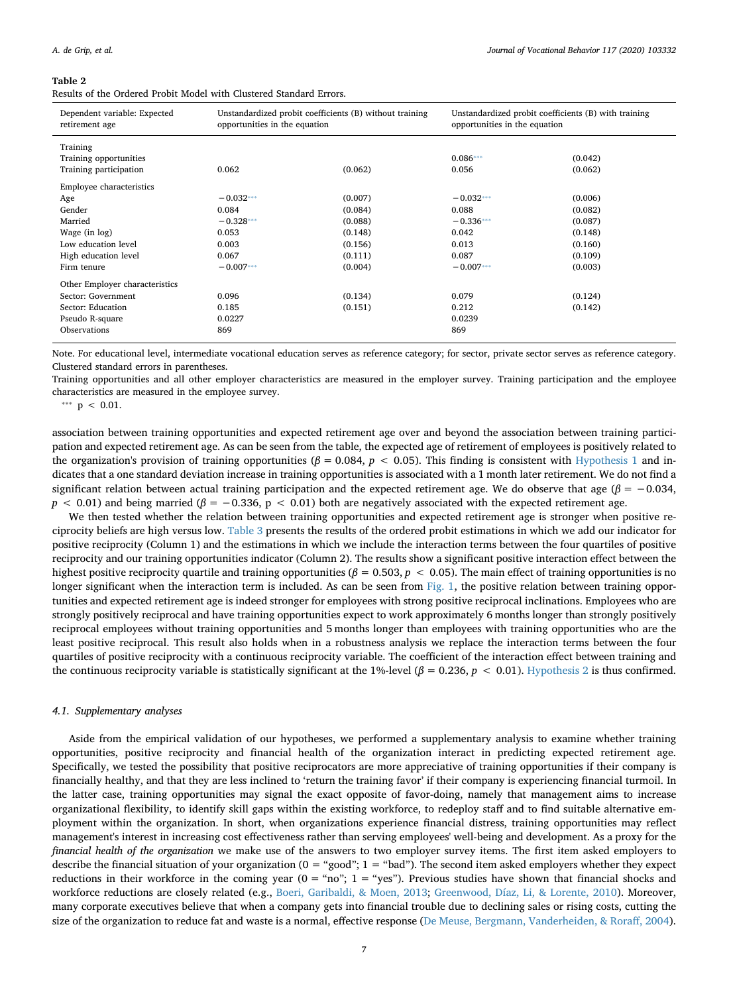#### <span id="page-7-0"></span>**Table 2**

Results of the Ordered Probit Model with Clustered Standard Errors.

| Dependent variable: Expected<br>retirement age | Unstandardized probit coefficients (B) without training<br>opportunities in the equation |         | Unstandardized probit coefficients (B) with training<br>opportunities in the equation |         |
|------------------------------------------------|------------------------------------------------------------------------------------------|---------|---------------------------------------------------------------------------------------|---------|
| Training                                       |                                                                                          |         |                                                                                       |         |
| Training opportunities                         |                                                                                          |         | $0.086***$                                                                            | (0.042) |
| Training participation                         | 0.062                                                                                    | (0.062) | 0.056                                                                                 | (0.062) |
| Employee characteristics                       |                                                                                          |         |                                                                                       |         |
| Age                                            | $-0.032***$                                                                              | (0.007) | $-0.032***$                                                                           | (0.006) |
| Gender                                         | 0.084                                                                                    | (0.084) | 0.088                                                                                 | (0.082) |
| Married                                        | $-0.328***$                                                                              | (0.088) | $-0.336***$                                                                           | (0.087) |
| Wage (in log)                                  | 0.053                                                                                    | (0.148) | 0.042                                                                                 | (0.148) |
| Low education level                            | 0.003                                                                                    | (0.156) | 0.013                                                                                 | (0.160) |
| High education level                           | 0.067                                                                                    | (0.111) | 0.087                                                                                 | (0.109) |
| Firm tenure                                    | $-0.007***$                                                                              | (0.004) | $-0.007***$                                                                           | (0.003) |
| Other Employer characteristics                 |                                                                                          |         |                                                                                       |         |
| Sector: Government                             | 0.096                                                                                    | (0.134) | 0.079                                                                                 | (0.124) |
| Sector: Education                              | 0.185                                                                                    | (0.151) | 0.212                                                                                 | (0.142) |
| Pseudo R-square                                | 0.0227                                                                                   |         | 0.0239                                                                                |         |
| <b>Observations</b>                            | 869                                                                                      |         | 869                                                                                   |         |

Note. For educational level, intermediate vocational education serves as reference category; for sector, private sector serves as reference category. Clustered standard errors in parentheses.

Training opportunities and all other employer characteristics are measured in the employer survey. Training participation and the employee characteristics are measured in the employee survey.

<span id="page-7-1"></span>\*\*\*  $p$  < 0.01.

association between training opportunities and expected retirement age over and beyond the association between training participation and expected retirement age. As can be seen from the table, the expected age of retirement of employees is positively related to the organization's provision of training opportunities (*β* = 0.084, *p* < 0.05). This finding is consistent with [Hypothesis 1](#page-3-0) and indicates that a one standard deviation increase in training opportunities is associated with a 1 month later retirement. We do not find a significant relation between actual training participation and the expected retirement age. We do observe that age ( $\beta$  = -0.034,  $p < 0.01$ ) and being married ( $\beta = -0.336$ ,  $p < 0.01$ ) both are negatively associated with the expected retirement age.

We then tested whether the relation between training opportunities and expected retirement age is stronger when positive reciprocity beliefs are high versus low. [Table 3](#page-8-0) presents the results of the ordered probit estimations in which we add our indicator for positive reciprocity (Column 1) and the estimations in which we include the interaction terms between the four quartiles of positive reciprocity and our training opportunities indicator (Column 2). The results show a significant positive interaction effect between the highest positive reciprocity quartile and training opportunities (*β* = 0.503, *p* < 0.05). The main effect of training opportunities is no longer significant when the interaction term is included. As can be seen from [Fig. 1](#page-8-1), the positive relation between training opportunities and expected retirement age is indeed stronger for employees with strong positive reciprocal inclinations. Employees who are strongly positively reciprocal and have training opportunities expect to work approximately 6 months longer than strongly positively reciprocal employees without training opportunities and 5 months longer than employees with training opportunities who are the least positive reciprocal. This result also holds when in a robustness analysis we replace the interaction terms between the four quartiles of positive reciprocity with a continuous reciprocity variable. The coefficient of the interaction effect between training and the continuous reciprocity variable is statistically significant at the 1%-level (*β* = 0.236, *p* < 0.01). [Hypothesis 2](#page-4-1) is thus confirmed.

#### *4.1. Supplementary analyses*

Aside from the empirical validation of our hypotheses, we performed a supplementary analysis to examine whether training opportunities, positive reciprocity and financial health of the organization interact in predicting expected retirement age. Specifically, we tested the possibility that positive reciprocators are more appreciative of training opportunities if their company is financially healthy, and that they are less inclined to 'return the training favor' if their company is experiencing financial turmoil. In the latter case, training opportunities may signal the exact opposite of favor-doing, namely that management aims to increase organizational flexibility, to identify skill gaps within the existing workforce, to redeploy staff and to find suitable alternative employment within the organization. In short, when organizations experience financial distress, training opportunities may reflect management's interest in increasing cost effectiveness rather than serving employees' well-being and development. As a proxy for the *financial health of the organization* we make use of the answers to two employer survey items. The first item asked employers to describe the financial situation of your organization ( $0 =$  "good";  $1 =$  "bad"). The second item asked employers whether they expect reductions in their workforce in the coming year  $(0 = "no"; 1 = "yes").$  Previous studies have shown that financial shocks and workforce reductions are closely related (e.g., [Boeri, Garibaldi, & Moen, 2013](#page-13-22); [Greenwood, Díaz, Li, & Lorente, 2010\)](#page-14-40). Moreover, many corporate executives believe that when a company gets into financial trouble due to declining sales or rising costs, cutting the size of the organization to reduce fat and waste is a normal, effective response ([De Meuse, Bergmann, Vanderheiden, & Roraff, 2004](#page-13-23)).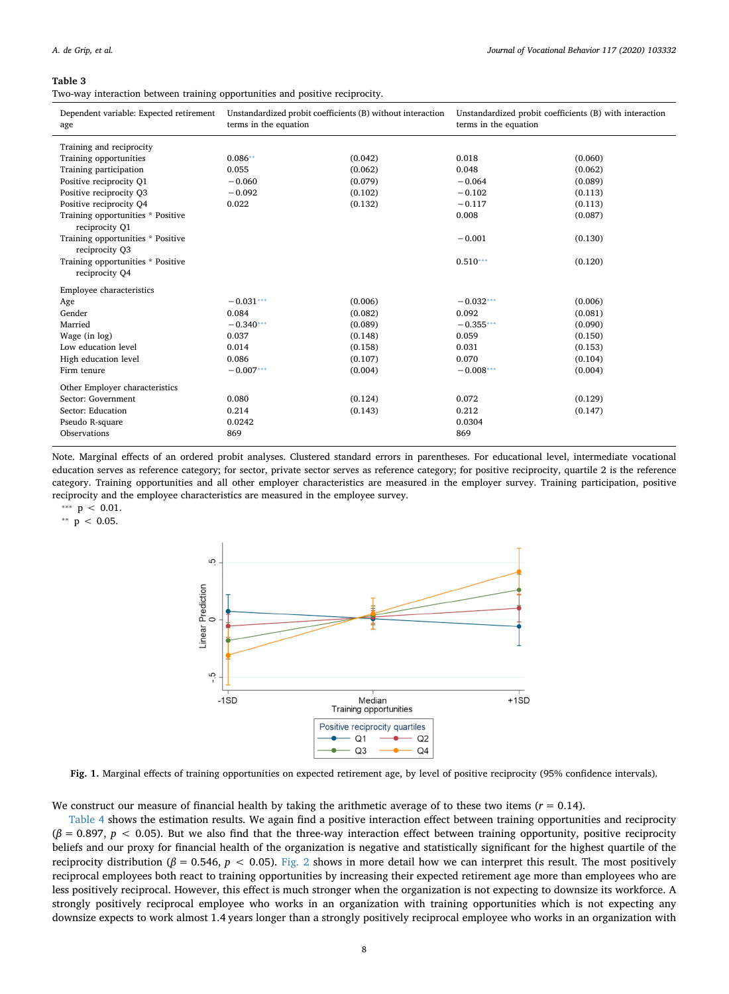#### <span id="page-8-0"></span>**Table 3**

Two-way interaction between training opportunities and positive reciprocity.

| Dependent variable: Expected retirement<br>age | Unstandardized probit coefficients (B) without interaction<br>terms in the equation |         | Unstandardized probit coefficients (B) with interaction<br>terms in the equation |         |
|------------------------------------------------|-------------------------------------------------------------------------------------|---------|----------------------------------------------------------------------------------|---------|
| Training and reciprocity                       |                                                                                     |         |                                                                                  |         |
| Training opportunities                         | $0.086**$                                                                           | (0.042) | 0.018                                                                            | (0.060) |
| Training participation                         | 0.055                                                                               | (0.062) | 0.048                                                                            | (0.062) |
| Positive reciprocity Q1                        | $-0.060$                                                                            | (0.079) | $-0.064$                                                                         | (0.089) |
| Positive reciprocity O3                        | $-0.092$                                                                            | (0.102) | $-0.102$                                                                         | (0.113) |
| Positive reciprocity O4                        | 0.022                                                                               | (0.132) | $-0.117$                                                                         | (0.113) |
| Training opportunities * Positive              |                                                                                     |         | 0.008                                                                            | (0.087) |
| reciprocity O1                                 |                                                                                     |         |                                                                                  |         |
| Training opportunities * Positive              |                                                                                     |         | $-0.001$                                                                         | (0.130) |
| reciprocity Q3                                 |                                                                                     |         |                                                                                  |         |
| Training opportunities * Positive              |                                                                                     |         | $0.510***$                                                                       | (0.120) |
| reciprocity O4                                 |                                                                                     |         |                                                                                  |         |
| Employee characteristics                       |                                                                                     |         |                                                                                  |         |
| Age                                            | $-0.031***$                                                                         | (0.006) | $-0.032***$                                                                      | (0.006) |
| Gender                                         | 0.084                                                                               | (0.082) | 0.092                                                                            | (0.081) |
| Married                                        | $-0.340***$                                                                         | (0.089) | $-0.355***$                                                                      | (0.090) |
| Wage (in log)                                  | 0.037                                                                               | (0.148) | 0.059                                                                            | (0.150) |
| Low education level                            | 0.014                                                                               | (0.158) | 0.031                                                                            | (0.153) |
| High education level                           | 0.086                                                                               | (0.107) | 0.070                                                                            | (0.104) |
| Firm tenure                                    | $-0.007***$                                                                         | (0.004) | $-0.008***$                                                                      | (0.004) |
| Other Employer characteristics                 |                                                                                     |         |                                                                                  |         |
| Sector: Government                             | 0.080                                                                               | (0.124) | 0.072                                                                            | (0.129) |
| Sector: Education                              | 0.214                                                                               | (0.143) | 0.212                                                                            | (0.147) |
| Pseudo R-square                                | 0.0242                                                                              |         | 0.0304                                                                           |         |
| Observations                                   | 869                                                                                 |         | 869                                                                              |         |
|                                                |                                                                                     |         |                                                                                  |         |

Note. Marginal effects of an ordered probit analyses. Clustered standard errors in parentheses. For educational level, intermediate vocational education serves as reference category; for sector, private sector serves as reference category; for positive reciprocity, quartile 2 is the reference category. Training opportunities and all other employer characteristics are measured in the employer survey. Training participation, positive reciprocity and the employee characteristics are measured in the employee survey.

<span id="page-8-3"></span>\*\*\*  $p$  < 0.01.

<span id="page-8-2"></span><span id="page-8-1"></span>\*\*  $p$  < 0.05.



**Fig. 1.** Marginal effects of training opportunities on expected retirement age, by level of positive reciprocity (95% confidence intervals).

We construct our measure of financial health by taking the arithmetic average of to these two items  $(r = 0.14)$ .

[Table 4](#page-9-0) shows the estimation results. We again find a positive interaction effect between training opportunities and reciprocity (*β* = 0.897, *p* < 0.05). But we also find that the three-way interaction effect between training opportunity, positive reciprocity beliefs and our proxy for financial health of the organization is negative and statistically significant for the highest quartile of the reciprocity distribution ( $β = 0.546$ ,  $p < 0.05$ ). [Fig. 2](#page-9-1) shows in more detail how we can interpret this result. The most positively reciprocal employees both react to training opportunities by increasing their expected retirement age more than employees who are less positively reciprocal. However, this effect is much stronger when the organization is not expecting to downsize its workforce. A strongly positively reciprocal employee who works in an organization with training opportunities which is not expecting any downsize expects to work almost 1.4 years longer than a strongly positively reciprocal employee who works in an organization with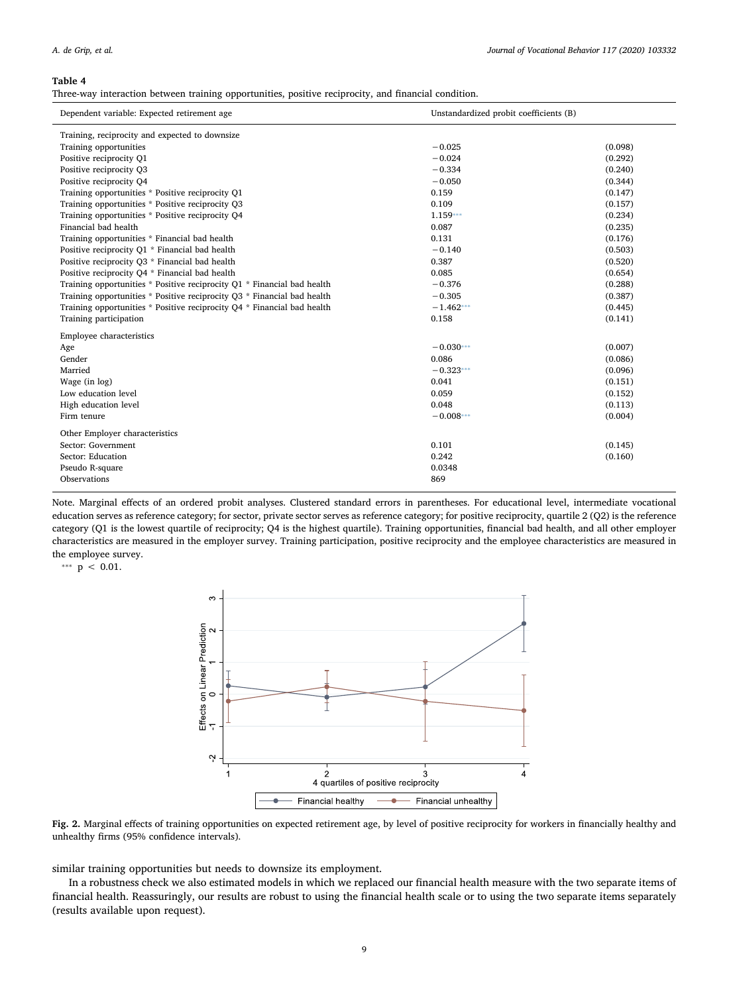#### <span id="page-9-0"></span>**Table 4**

Three-way interaction between training opportunities, positive reciprocity, and financial condition.

| Dependent variable: Expected retirement age                             | Unstandardized probit coefficients (B) |         |
|-------------------------------------------------------------------------|----------------------------------------|---------|
| Training, reciprocity and expected to downsize                          |                                        |         |
| Training opportunities                                                  | $-0.025$                               | (0.098) |
| Positive reciprocity Q1                                                 | $-0.024$                               | (0.292) |
| Positive reciprocity Q3                                                 | $-0.334$                               | (0.240) |
| Positive reciprocity Q4                                                 | $-0.050$                               | (0.344) |
| Training opportunities * Positive reciprocity Q1                        | 0.159                                  | (0.147) |
| Training opportunities * Positive reciprocity Q3                        | 0.109                                  | (0.157) |
| Training opportunities * Positive reciprocity O4                        | $1.159***$                             | (0.234) |
| Financial bad health                                                    | 0.087                                  | (0.235) |
| Training opportunities * Financial bad health                           | 0.131                                  | (0.176) |
| Positive reciprocity Q1 * Financial bad health                          | $-0.140$                               | (0.503) |
| Positive reciprocity O3 * Financial bad health                          | 0.387                                  | (0.520) |
| Positive reciprocity O4 * Financial bad health                          | 0.085                                  | (0.654) |
| Training opportunities * Positive reciprocity Q1 * Financial bad health | $-0.376$                               | (0.288) |
| Training opportunities * Positive reciprocity Q3 * Financial bad health | $-0.305$                               | (0.387) |
| Training opportunities * Positive reciprocity Q4 * Financial bad health | $-1.462***$                            | (0.445) |
| Training participation                                                  | 0.158                                  | (0.141) |
| Employee characteristics                                                |                                        |         |
| Age                                                                     | $-0.030***$                            | (0.007) |
| Gender                                                                  | 0.086                                  | (0.086) |
| Married                                                                 | $-0.323***$                            | (0.096) |
| Wage (in log)                                                           | 0.041                                  | (0.151) |
| Low education level                                                     | 0.059                                  | (0.152) |
| High education level                                                    | 0.048                                  | (0.113) |
| Firm tenure                                                             | $-0.008***$                            | (0.004) |
| Other Employer characteristics                                          |                                        |         |
| Sector: Government                                                      | 0.101                                  | (0.145) |
| Sector: Education                                                       | 0.242                                  | (0.160) |
| Pseudo R-square                                                         | 0.0348                                 |         |
| Observations                                                            | 869                                    |         |

Note. Marginal effects of an ordered probit analyses. Clustered standard errors in parentheses. For educational level, intermediate vocational education serves as reference category; for sector, private sector serves as reference category; for positive reciprocity, quartile 2 (Q2) is the reference category (Q1 is the lowest quartile of reciprocity; Q4 is the highest quartile). Training opportunities, financial bad health, and all other employer characteristics are measured in the employer survey. Training participation, positive reciprocity and the employee characteristics are measured in the employee survey.

<span id="page-9-2"></span><span id="page-9-1"></span>\*\*\*  $p < 0.01$ .





similar training opportunities but needs to downsize its employment.

In a robustness check we also estimated models in which we replaced our financial health measure with the two separate items of financial health. Reassuringly, our results are robust to using the financial health scale or to using the two separate items separately (results available upon request).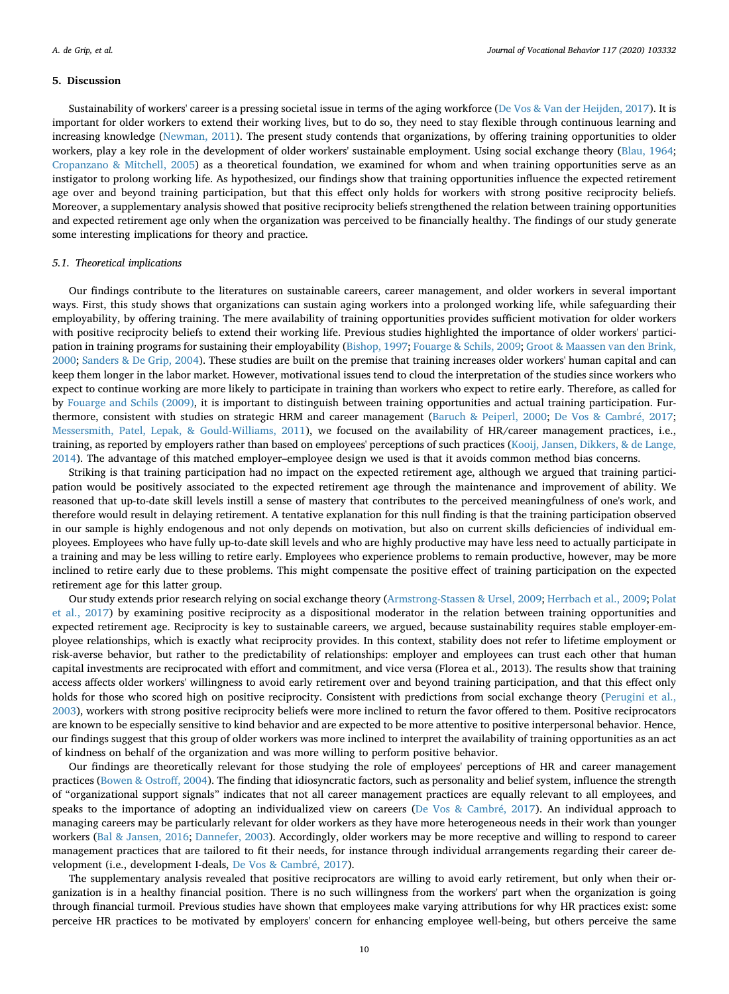#### **5. Discussion**

Sustainability of workers' career is a pressing societal issue in terms of the aging workforce [\(De Vos & Van der Heijden, 2017](#page-14-41)). It is important for older workers to extend their working lives, but to do so, they need to stay flexible through continuous learning and increasing knowledge ([Newman, 2011](#page-14-42)). The present study contends that organizations, by offering training opportunities to older workers, play a key role in the development of older workers' sustainable employment. Using social exchange theory [\(Blau, 1964](#page-13-8); [Cropanzano & Mitchell, 2005\)](#page-13-9) as a theoretical foundation, we examined for whom and when training opportunities serve as an instigator to prolong working life. As hypothesized, our findings show that training opportunities influence the expected retirement age over and beyond training participation, but that this effect only holds for workers with strong positive reciprocity beliefs. Moreover, a supplementary analysis showed that positive reciprocity beliefs strengthened the relation between training opportunities and expected retirement age only when the organization was perceived to be financially healthy. The findings of our study generate some interesting implications for theory and practice.

#### *5.1. Theoretical implications*

Our findings contribute to the literatures on sustainable careers, career management, and older workers in several important ways. First, this study shows that organizations can sustain aging workers into a prolonged working life, while safeguarding their employability, by offering training. The mere availability of training opportunities provides sufficient motivation for older workers with positive reciprocity beliefs to extend their working life. Previous studies highlighted the importance of older workers' participation in training programs for sustaining their employability ([Bishop, 1997;](#page-13-11) [Fouarge & Schils, 2009](#page-14-43); [Groot & Maassen van den Brink,](#page-14-44) [2000;](#page-14-44) [Sanders & De Grip, 2004\)](#page-14-45). These studies are built on the premise that training increases older workers' human capital and can keep them longer in the labor market. However, motivational issues tend to cloud the interpretation of the studies since workers who expect to continue working are more likely to participate in training than workers who expect to retire early. Therefore, as called for by [Fouarge and Schils \(2009\),](#page-14-43) it is important to distinguish between training opportunities and actual training participation. Furthermore, consistent with studies on strategic HRM and career management [\(Baruch & Peiperl, 2000;](#page-13-24) [De Vos & Cambré, 2017](#page-13-25); [Messersmith, Patel, Lepak, & Gould-Williams, 2011](#page-14-46)), we focused on the availability of HR/career management practices, i.e., training, as reported by employers rather than based on employees' perceptions of such practices [\(Kooij, Jansen, Dikkers, & de Lange,](#page-14-47) [2014\)](#page-14-47). The advantage of this matched employer–employee design we used is that it avoids common method bias concerns.

Striking is that training participation had no impact on the expected retirement age, although we argued that training participation would be positively associated to the expected retirement age through the maintenance and improvement of ability. We reasoned that up-to-date skill levels instill a sense of mastery that contributes to the perceived meaningfulness of one's work, and therefore would result in delaying retirement. A tentative explanation for this null finding is that the training participation observed in our sample is highly endogenous and not only depends on motivation, but also on current skills deficiencies of individual employees. Employees who have fully up-to-date skill levels and who are highly productive may have less need to actually participate in a training and may be less willing to retire early. Employees who experience problems to remain productive, however, may be more inclined to retire early due to these problems. This might compensate the positive effect of training participation on the expected retirement age for this latter group.

Our study extends prior research relying on social exchange theory [\(Armstrong-Stassen & Ursel, 2009;](#page-13-6) [Herrbach et al., 2009;](#page-14-4) [Polat](#page-14-2) [et al., 2017\)](#page-14-2) by examining positive reciprocity as a dispositional moderator in the relation between training opportunities and expected retirement age. Reciprocity is key to sustainable careers, we argued, because sustainability requires stable employer-employee relationships, which is exactly what reciprocity provides. In this context, stability does not refer to lifetime employment or risk-averse behavior, but rather to the predictability of relationships: employer and employees can trust each other that human capital investments are reciprocated with effort and commitment, and vice versa (Florea et al., 2013). The results show that training access affects older workers' willingness to avoid early retirement over and beyond training participation, and that this effect only holds for those who scored high on positive reciprocity. Consistent with predictions from social exchange theory [\(Perugini et al.,](#page-14-9) [2003\)](#page-14-9), workers with strong positive reciprocity beliefs were more inclined to return the favor offered to them. Positive reciprocators are known to be especially sensitive to kind behavior and are expected to be more attentive to positive interpersonal behavior. Hence, our findings suggest that this group of older workers was more inclined to interpret the availability of training opportunities as an act of kindness on behalf of the organization and was more willing to perform positive behavior.

Our findings are theoretically relevant for those studying the role of employees' perceptions of HR and career management practices [\(Bowen & Ostroff, 2004\)](#page-13-26). The finding that idiosyncratic factors, such as personality and belief system, influence the strength of "organizational support signals" indicates that not all career management practices are equally relevant to all employees, and speaks to the importance of adopting an individualized view on careers [\(De Vos & Cambré, 2017](#page-13-25)). An individual approach to managing careers may be particularly relevant for older workers as they have more heterogeneous needs in their work than younger workers ([Bal & Jansen, 2016](#page-13-27); [Dannefer, 2003\)](#page-13-28). Accordingly, older workers may be more receptive and willing to respond to career management practices that are tailored to fit their needs, for instance through individual arrangements regarding their career development (i.e., development I-deals, [De Vos & Cambré, 2017\)](#page-13-25).

The supplementary analysis revealed that positive reciprocators are willing to avoid early retirement, but only when their organization is in a healthy financial position. There is no such willingness from the workers' part when the organization is going through financial turmoil. Previous studies have shown that employees make varying attributions for why HR practices exist: some perceive HR practices to be motivated by employers' concern for enhancing employee well-being, but others perceive the same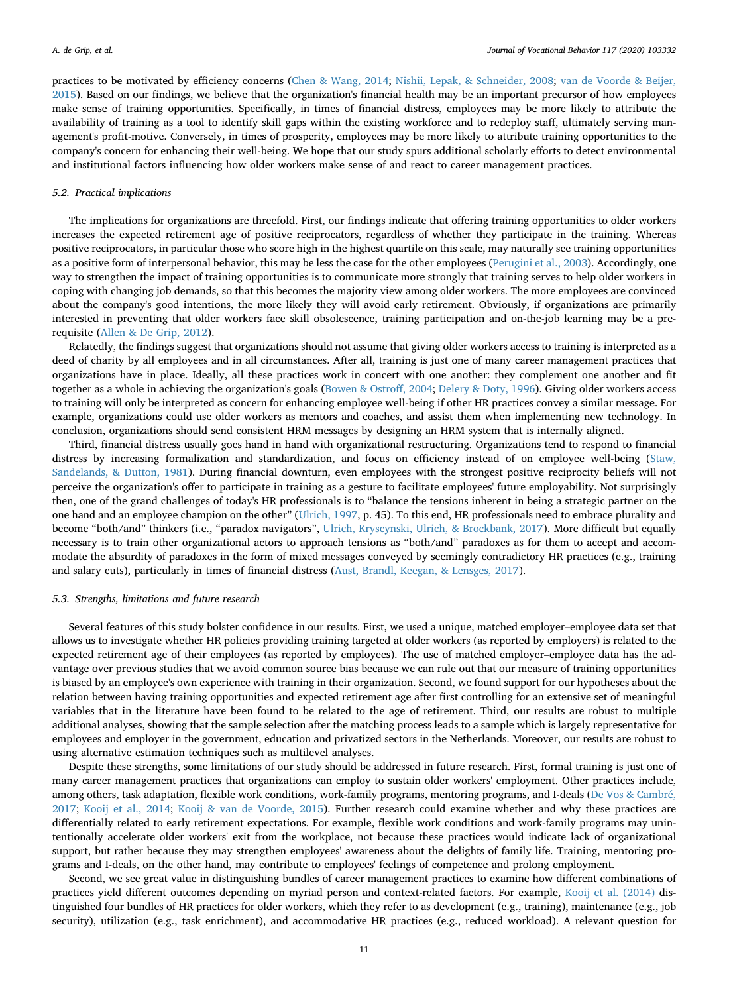practices to be motivated by efficiency concerns ([Chen & Wang, 2014](#page-13-29); [Nishii, Lepak, & Schneider, 2008;](#page-14-48) [van de Voorde & Beijer,](#page-15-13) [2015\)](#page-15-13). Based on our findings, we believe that the organization's financial health may be an important precursor of how employees make sense of training opportunities. Specifically, in times of financial distress, employees may be more likely to attribute the availability of training as a tool to identify skill gaps within the existing workforce and to redeploy staff, ultimately serving management's profit-motive. Conversely, in times of prosperity, employees may be more likely to attribute training opportunities to the company's concern for enhancing their well-being. We hope that our study spurs additional scholarly efforts to detect environmental and institutional factors influencing how older workers make sense of and react to career management practices.

#### *5.2. Practical implications*

The implications for organizations are threefold. First, our findings indicate that offering training opportunities to older workers increases the expected retirement age of positive reciprocators, regardless of whether they participate in the training. Whereas positive reciprocators, in particular those who score high in the highest quartile on this scale, may naturally see training opportunities as a positive form of interpersonal behavior, this may be less the case for the other employees [\(Perugini et al., 2003\)](#page-14-9). Accordingly, one way to strengthen the impact of training opportunities is to communicate more strongly that training serves to help older workers in coping with changing job demands, so that this becomes the majority view among older workers. The more employees are convinced about the company's good intentions, the more likely they will avoid early retirement. Obviously, if organizations are primarily interested in preventing that older workers face skill obsolescence, training participation and on-the-job learning may be a prerequisite [\(Allen & De Grip, 2012](#page-13-30)).

Relatedly, the findings suggest that organizations should not assume that giving older workers access to training is interpreted as a deed of charity by all employees and in all circumstances. After all, training is just one of many career management practices that organizations have in place. Ideally, all these practices work in concert with one another: they complement one another and fit together as a whole in achieving the organization's goals ([Bowen & Ostroff, 2004](#page-13-26); [Delery & Doty, 1996\)](#page-14-49). Giving older workers access to training will only be interpreted as concern for enhancing employee well-being if other HR practices convey a similar message. For example, organizations could use older workers as mentors and coaches, and assist them when implementing new technology. In conclusion, organizations should send consistent HRM messages by designing an HRM system that is internally aligned.

Third, financial distress usually goes hand in hand with organizational restructuring. Organizations tend to respond to financial distress by increasing formalization and standardization, and focus on efficiency instead of on employee well-being ([Staw,](#page-14-50) [Sandelands, & Dutton, 1981\)](#page-14-50). During financial downturn, even employees with the strongest positive reciprocity beliefs will not perceive the organization's offer to participate in training as a gesture to facilitate employees' future employability. Not surprisingly then, one of the grand challenges of today's HR professionals is to "balance the tensions inherent in being a strategic partner on the one hand and an employee champion on the other" [\(Ulrich, 1997](#page-14-51), p. 45). To this end, HR professionals need to embrace plurality and become "both/and" thinkers (i.e., "paradox navigators", [Ulrich, Kryscynski, Ulrich, & Brockbank, 2017\)](#page-15-14). More difficult but equally necessary is to train other organizational actors to approach tensions as "both/and" paradoxes as for them to accept and accommodate the absurdity of paradoxes in the form of mixed messages conveyed by seemingly contradictory HR practices (e.g., training and salary cuts), particularly in times of financial distress [\(Aust, Brandl, Keegan, & Lensges, 2017\)](#page-13-31).

#### *5.3. Strengths, limitations and future research*

Several features of this study bolster confidence in our results. First, we used a unique, matched employer–employee data set that allows us to investigate whether HR policies providing training targeted at older workers (as reported by employers) is related to the expected retirement age of their employees (as reported by employees). The use of matched employer–employee data has the advantage over previous studies that we avoid common source bias because we can rule out that our measure of training opportunities is biased by an employee's own experience with training in their organization. Second, we found support for our hypotheses about the relation between having training opportunities and expected retirement age after first controlling for an extensive set of meaningful variables that in the literature have been found to be related to the age of retirement. Third, our results are robust to multiple additional analyses, showing that the sample selection after the matching process leads to a sample which is largely representative for employees and employer in the government, education and privatized sectors in the Netherlands. Moreover, our results are robust to using alternative estimation techniques such as multilevel analyses.

Despite these strengths, some limitations of our study should be addressed in future research. First, formal training is just one of many career management practices that organizations can employ to sustain older workers' employment. Other practices include, among others, task adaptation, flexible work conditions, work-family programs, mentoring programs, and I-deals [\(De Vos & Cambré,](#page-13-25) [2017;](#page-13-25) [Kooij et al., 2014](#page-14-47); [Kooij & van de Voorde, 2015\)](#page-14-0). Further research could examine whether and why these practices are differentially related to early retirement expectations. For example, flexible work conditions and work-family programs may unintentionally accelerate older workers' exit from the workplace, not because these practices would indicate lack of organizational support, but rather because they may strengthen employees' awareness about the delights of family life. Training, mentoring programs and I-deals, on the other hand, may contribute to employees' feelings of competence and prolong employment.

Second, we see great value in distinguishing bundles of career management practices to examine how different combinations of practices yield different outcomes depending on myriad person and context-related factors. For example, [Kooij et al. \(2014\)](#page-14-47) distinguished four bundles of HR practices for older workers, which they refer to as development (e.g., training), maintenance (e.g., job security), utilization (e.g., task enrichment), and accommodative HR practices (e.g., reduced workload). A relevant question for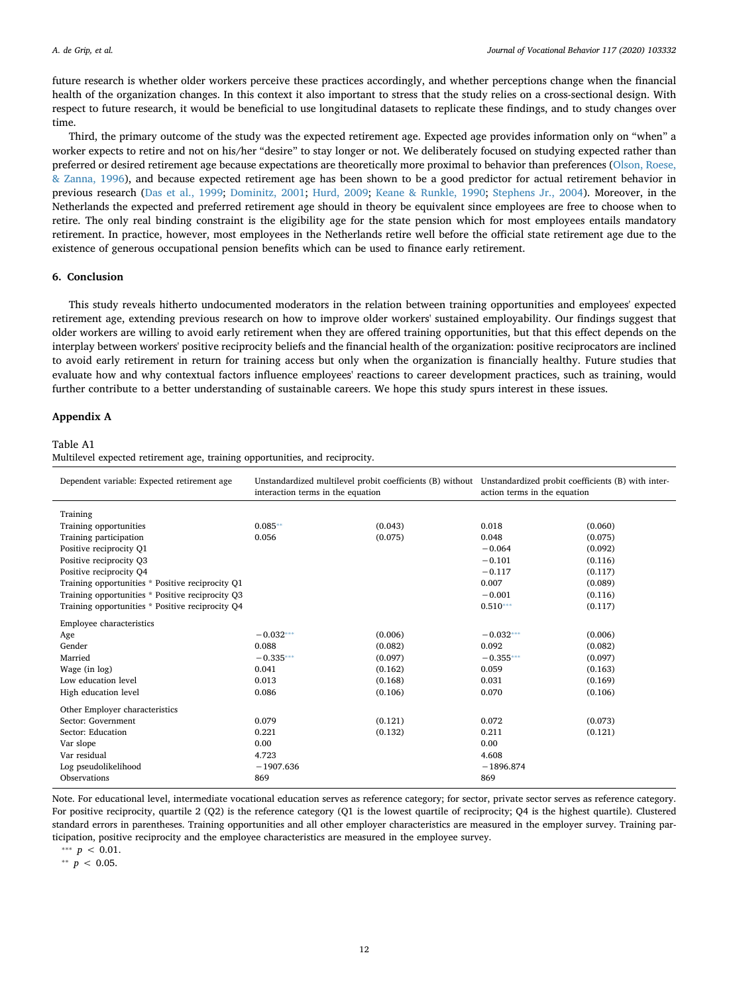future research is whether older workers perceive these practices accordingly, and whether perceptions change when the financial health of the organization changes. In this context it also important to stress that the study relies on a cross-sectional design. With respect to future research, it would be beneficial to use longitudinal datasets to replicate these findings, and to study changes over time.

Third, the primary outcome of the study was the expected retirement age. Expected age provides information only on "when" a worker expects to retire and not on his/her "desire" to stay longer or not. We deliberately focused on studying expected rather than preferred or desired retirement age because expectations are theoretically more proximal to behavior than preferences [\(Olson, Roese,](#page-14-52) [& Zanna, 1996](#page-14-52)), and because expected retirement age has been shown to be a good predictor for actual retirement behavior in previous research [\(Das et al., 1999;](#page-13-20) [Dominitz, 2001](#page-14-30); [Hurd, 2009](#page-14-31); [Keane & Runkle, 1990;](#page-14-32) [Stephens Jr., 2004\)](#page-14-33). Moreover, in the Netherlands the expected and preferred retirement age should in theory be equivalent since employees are free to choose when to retire. The only real binding constraint is the eligibility age for the state pension which for most employees entails mandatory retirement. In practice, however, most employees in the Netherlands retire well before the official state retirement age due to the existence of generous occupational pension benefits which can be used to finance early retirement.

#### **6. Conclusion**

This study reveals hitherto undocumented moderators in the relation between training opportunities and employees' expected retirement age, extending previous research on how to improve older workers' sustained employability. Our findings suggest that older workers are willing to avoid early retirement when they are offered training opportunities, but that this effect depends on the interplay between workers' positive reciprocity beliefs and the financial health of the organization: positive reciprocators are inclined to avoid early retirement in return for training access but only when the organization is financially healthy. Future studies that evaluate how and why contextual factors influence employees' reactions to career development practices, such as training, would further contribute to a better understanding of sustainable careers. We hope this study spurs interest in these issues.

#### <span id="page-12-0"></span>**Appendix A**

#### Table A1

Multilevel expected retirement age, training opportunities, and reciprocity.

| Dependent variable: Expected retirement age      | Unstandardized multilevel probit coefficients (B) without Unstandardized probit coefficients (B) with inter-<br>interaction terms in the equation |         | action terms in the equation |         |
|--------------------------------------------------|---------------------------------------------------------------------------------------------------------------------------------------------------|---------|------------------------------|---------|
| Training                                         |                                                                                                                                                   |         |                              |         |
| Training opportunities                           | $0.085**$                                                                                                                                         | (0.043) | 0.018                        | (0.060) |
| Training participation                           | 0.056                                                                                                                                             | (0.075) | 0.048                        | (0.075) |
| Positive reciprocity Q1                          |                                                                                                                                                   |         | $-0.064$                     | (0.092) |
| Positive reciprocity Q3                          |                                                                                                                                                   |         | $-0.101$                     | (0.116) |
| Positive reciprocity O4                          |                                                                                                                                                   |         | $-0.117$                     | (0.117) |
| Training opportunities * Positive reciprocity O1 |                                                                                                                                                   |         | 0.007                        | (0.089) |
| Training opportunities * Positive reciprocity Q3 |                                                                                                                                                   |         | $-0.001$                     | (0.116) |
| Training opportunities * Positive reciprocity Q4 |                                                                                                                                                   |         | $0.510***$                   | (0.117) |
| Employee characteristics                         |                                                                                                                                                   |         |                              |         |
| Age                                              | $-0.032***$                                                                                                                                       | (0.006) | $-0.032***$                  | (0.006) |
| Gender                                           | 0.088                                                                                                                                             | (0.082) | 0.092                        | (0.082) |
| Married                                          | $-0.335***$                                                                                                                                       | (0.097) | $-0.355***$                  | (0.097) |
| Wage (in log)                                    | 0.041                                                                                                                                             | (0.162) | 0.059                        | (0.163) |
| Low education level                              | 0.013                                                                                                                                             | (0.168) | 0.031                        | (0.169) |
| High education level                             | 0.086                                                                                                                                             | (0.106) | 0.070                        | (0.106) |
| Other Employer characteristics                   |                                                                                                                                                   |         |                              |         |
| Sector: Government                               | 0.079                                                                                                                                             | (0.121) | 0.072                        | (0.073) |
| Sector: Education                                | 0.221                                                                                                                                             | (0.132) | 0.211                        | (0.121) |
| Var slope                                        | 0.00                                                                                                                                              |         | 0.00                         |         |
| Var residual                                     | 4.723                                                                                                                                             |         | 4.608                        |         |
| Log pseudolikelihood                             | $-1907.636$                                                                                                                                       |         | $-1896.874$                  |         |
| Observations                                     | 869                                                                                                                                               |         | 869                          |         |

Note. For educational level, intermediate vocational education serves as reference category; for sector, private sector serves as reference category. For positive reciprocity, quartile 2 (Q2) is the reference category (Q1 is the lowest quartile of reciprocity; Q4 is the highest quartile). Clustered standard errors in parentheses. Training opportunities and all other employer characteristics are measured in the employer survey. Training participation, positive reciprocity and the employee characteristics are measured in the employee survey.

<span id="page-12-2"></span>\*\*\*  $p < 0.01$ .

<span id="page-12-1"></span>⁎⁎ *p* < 0.05.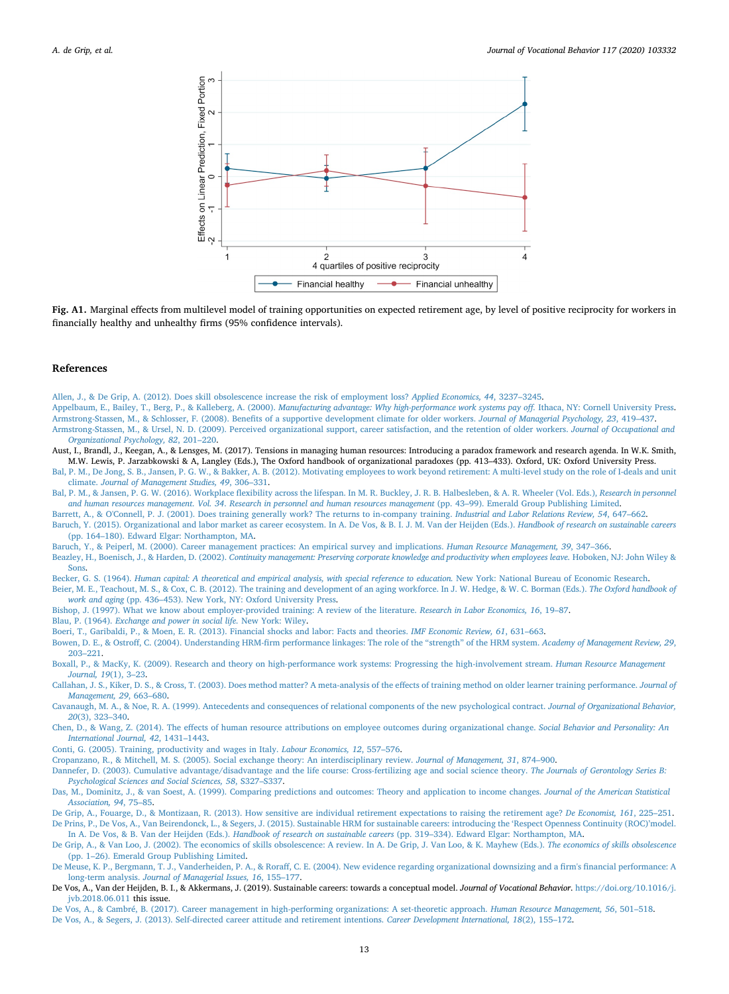

**Fig. A1.** Marginal effects from multilevel model of training opportunities on expected retirement age, by level of positive reciprocity for workers in financially healthy and unhealthy firms (95% confidence intervals).

#### **References**

<span id="page-13-30"></span>[Allen, J., & De Grip, A. \(2012\). Does skill obsolescence increase the risk of employment loss?](http://refhub.elsevier.com/S0001-8791(19)30104-6/rf0005) *Applied Economics, 44*, 3237–3245.

<span id="page-13-3"></span>Appelbaum, E., Bailey, T., Berg, P., & Kalleberg, A. (2000). *[Manufacturing advantage: Why high-performance work systems pay off.](http://refhub.elsevier.com/S0001-8791(19)30104-6/rf0010)* Ithaca, NY: Cornell University Press.

<span id="page-13-6"></span><span id="page-13-5"></span>[Armstrong-Stassen, M., & Schlosser, F. \(2008\). Benefits of a supportive development climate for older workers.](http://refhub.elsevier.com/S0001-8791(19)30104-6/rf0015) *Journal of Managerial Psychology, 23*, 419–437. [Armstrong-Stassen, M., & Ursel, N. D. \(2009\). Perceived organizational support, career satisfaction, and the retention of older workers.](http://refhub.elsevier.com/S0001-8791(19)30104-6/rf0020) *Journal of Occupational and [Organizational Psychology, 82](http://refhub.elsevier.com/S0001-8791(19)30104-6/rf0020)*, 201–220.

<span id="page-13-31"></span>Aust, I., Brandl, J., Keegan, A., & Lensges, M. (2017). Tensions in managing human resources: Introducing a paradox framework and research agenda. In W.K. Smith, M.W. Lewis, P. Jarzabkowski & A, Langley (Eds.), The Oxford handbook of organizational paradoxes (pp. 413–433). Oxford, UK: Oxford University Press.

<span id="page-13-7"></span>[Bal, P. M., De Jong, S. B., Jansen, P. G. W., & Bakker, A. B. \(2012\). Motivating employees to work beyond retirement: A multi-level study on the role of I-deals and unit](http://refhub.elsevier.com/S0001-8791(19)30104-6/rf0025) climate. *[Journal of Management Studies, 49](http://refhub.elsevier.com/S0001-8791(19)30104-6/rf0025)*, 306–331.

<span id="page-13-27"></span>[Bal, P. M., & Jansen, P. G. W. \(2016\). Workplace flexibility across the lifespan. In M. R. Buckley, J. R. B. Halbesleben, & A. R. Wheeler \(Vol. Eds.\),](http://refhub.elsevier.com/S0001-8791(19)30104-6/rf0030) *Research in personnel and human resources management*. *Vol. 34*. *[Research in personnel and human resources management](http://refhub.elsevier.com/S0001-8791(19)30104-6/rf0030)* (pp. 43–99). Emerald Group Publishing Limited.

<span id="page-13-14"></span>[Barrett, A., & O'Connell, P. J. \(2001\). Does training generally work? The returns to in-company training.](http://refhub.elsevier.com/S0001-8791(19)30104-6/rf0035) *Industrial and Labor Relations Review, 54*, 647–662.

<span id="page-13-19"></span>[Baruch, Y. \(2015\). Organizational and labor market as career ecosystem. In A. De Vos, & B. I. J. M. Van der Heijden \(Eds.\).](http://refhub.elsevier.com/S0001-8791(19)30104-6/rf9005) *Handbook of research on sustainable careers* [\(pp. 164–180\). Edward Elgar: Northampton, MA](http://refhub.elsevier.com/S0001-8791(19)30104-6/rf9005).

<span id="page-13-24"></span>[Baruch, Y., & Peiperl, M. \(2000\). Career management practices: An empirical survey and implications.](http://refhub.elsevier.com/S0001-8791(19)30104-6/rf0040) *Human Resource Management, 39*, 347–366.

<span id="page-13-0"></span>Beazley, H., Boenisch, J., & Harden, D. (2002). *[Continuity management: Preserving corporate knowledge and productivity when employees leave.](http://refhub.elsevier.com/S0001-8791(19)30104-6/rf0045)* Hoboken, NJ: John Wiley & [Sons.](http://refhub.elsevier.com/S0001-8791(19)30104-6/rf0045)

<span id="page-13-16"></span><span id="page-13-10"></span>Becker, G. S. (1964). *[Human capital: A theoretical and empirical analysis, with special reference to education.](http://refhub.elsevier.com/S0001-8791(19)30104-6/rf0050)* New York: National Bureau of Economic Research. [Beier, M. E., Teachout, M. S., & Cox, C. B. \(2012\). The training and development of an aging workforce. In J. W. Hedge, & W. C. Borman \(Eds.\).](http://refhub.elsevier.com/S0001-8791(19)30104-6/rf0055) *The Oxford handbook of work and aging* [\(pp. 436–453\). New York, NY: Oxford University Press](http://refhub.elsevier.com/S0001-8791(19)30104-6/rf0055).

<span id="page-13-11"></span>[Bishop, J. \(1997\). What we know about employer-provided training: A review of the literature.](http://refhub.elsevier.com/S0001-8791(19)30104-6/rf0060) *Research in Labor Economics, 16*, 19–87.

<span id="page-13-8"></span>Blau, P. (1964). *[Exchange and power in social life.](http://refhub.elsevier.com/S0001-8791(19)30104-6/rf0065)* New York: Wiley.

<span id="page-13-22"></span>[Boeri, T., Garibaldi, P., & Moen, E. R. \(2013\). Financial shocks and labor: Facts and theories.](http://refhub.elsevier.com/S0001-8791(19)30104-6/rf0070) *IMF Economic Review, 61*, 631–663.

<span id="page-13-26"></span>[Bowen, D. E., & Ostroff, C. \(2004\). Understanding HRM-firm performance linkages: The role of the "strength" of the HRM system.](http://refhub.elsevier.com/S0001-8791(19)30104-6/rf0075) *Academy of Management Review, 29*, [203–221.](http://refhub.elsevier.com/S0001-8791(19)30104-6/rf0075)

<span id="page-13-4"></span>[Boxall, P., & MacKy, K. \(2009\). Research and theory on high-performance work systems: Progressing the high-involvement stream.](http://refhub.elsevier.com/S0001-8791(19)30104-6/rf0080) *Human Resource Management [Journal, 19](http://refhub.elsevier.com/S0001-8791(19)30104-6/rf0080)*(1), 3–23.

<span id="page-13-13"></span>[Callahan, J. S., Kiker, D. S., & Cross, T. \(2003\). Does method matter? A meta-analysis of the effects of training method on older learner training performance.](http://refhub.elsevier.com/S0001-8791(19)30104-6/rf0085) *Journal of [Management, 29](http://refhub.elsevier.com/S0001-8791(19)30104-6/rf0085)*, 663–680.

<span id="page-13-18"></span>[Cavanaugh, M. A., & Noe, R. A. \(1999\). Antecedents and consequences of relational components of the new psychological contract.](http://refhub.elsevier.com/S0001-8791(19)30104-6/rf9010) *Journal of Organizational Behavior, 20*[\(3\), 323–340](http://refhub.elsevier.com/S0001-8791(19)30104-6/rf9010).

<span id="page-13-29"></span>[Chen, D., & Wang, Z. \(2014\). The effects of human resource attributions on employee outcomes during organizational change.](http://refhub.elsevier.com/S0001-8791(19)30104-6/rf0090) *Social Behavior and Personality: An [International Journal, 42](http://refhub.elsevier.com/S0001-8791(19)30104-6/rf0090)*, 1431–1443.

<span id="page-13-15"></span>[Conti, G. \(2005\). Training, productivity and wages in Italy.](http://refhub.elsevier.com/S0001-8791(19)30104-6/rf0095) *Labour Economics, 12*, 557–576.

<span id="page-13-9"></span>[Cropanzano, R., & Mitchell, M. S. \(2005\). Social exchange theory: An interdisciplinary review.](http://refhub.elsevier.com/S0001-8791(19)30104-6/rf0100) *Journal of Management, 31*, 874–900.

<span id="page-13-28"></span>[Dannefer, D. \(2003\). Cumulative advantage/disadvantage and the life course: Cross-fertilizing age and social science theory.](http://refhub.elsevier.com/S0001-8791(19)30104-6/rf0105) *The Journals of Gerontology Series B: [Psychological Sciences and Social Sciences, 58](http://refhub.elsevier.com/S0001-8791(19)30104-6/rf0105)*, S327–S337.

<span id="page-13-20"></span>[Das, M., Dominitz, J., & van Soest, A. \(1999\). Comparing predictions and outcomes: Theory and application to income changes.](http://refhub.elsevier.com/S0001-8791(19)30104-6/rf0110) *Journal of the American Statistical [Association, 94](http://refhub.elsevier.com/S0001-8791(19)30104-6/rf0110)*, 75–85.

<span id="page-13-21"></span><span id="page-13-17"></span>[De Grip, A., Fouarge, D., & Montizaan, R. \(2013\). How sensitive are individual retirement expectations to raising the retirement age?](http://refhub.elsevier.com/S0001-8791(19)30104-6/rf0120) *De Economist, 161*, 225–251. [De Prins, P., De Vos, A., Van Beirendonck, L., & Segers, J. \(2015\). Sustainable HRM for sustainable careers: introducing the 'Respect Openness Continuity \(ROC\)'model.](http://refhub.elsevier.com/S0001-8791(19)30104-6/rf9015)

<span id="page-13-12"></span>In A. De Vos, & B. Van der Heijden (Eds.). *Handbook of research on sustainable careers* [\(pp. 319–334\). Edward Elgar: Northampton, MA](http://refhub.elsevier.com/S0001-8791(19)30104-6/rf9015). [De Grip, A., & Van Loo, J. \(2002\). The economics of skills obsolescence: A review. In A. De Grip, J. Van Loo, & K. Mayhew \(Eds.\).](http://refhub.elsevier.com/S0001-8791(19)30104-6/rf0125) *The economics of skills obsolescence*

<span id="page-13-23"></span>[\(pp. 1–26\). Emerald Group Publishing Limited](http://refhub.elsevier.com/S0001-8791(19)30104-6/rf0125). [De Meuse, K. P., Bergmann, T. J., Vanderheiden, P. A., & Roraff, C. E. \(2004\). New evidence regarding organizational downsizing and a firm's financial performance: A](http://refhub.elsevier.com/S0001-8791(19)30104-6/rf0130)

<span id="page-13-2"></span>long-term analysis. *[Journal of Managerial Issues, 16](http://refhub.elsevier.com/S0001-8791(19)30104-6/rf0130)*, 155–177. De Vos, A., Van der Heijden, B. I., & Akkermans, J. (2019). Sustainable careers: towards a conceptual model. *Journal of Vocational Behavior*. [https://doi.org/10.1016/j.](https://doi.org/10.1016/j.jvb.2018.06.011) [jvb.2018.06.011](https://doi.org/10.1016/j.jvb.2018.06.011) this issue.

<span id="page-13-25"></span><span id="page-13-1"></span>[De Vos, A., & Cambré, B. \(2017\). Career management in high-performing organizations: A set-theoretic approach.](http://refhub.elsevier.com/S0001-8791(19)30104-6/rf0135) *Human Resource Management, 56*, 501–518. [De Vos, A., & Segers, J. \(2013\). Self-directed career attitude and retirement intentions.](http://refhub.elsevier.com/S0001-8791(19)30104-6/rf9020) *Career Development International, 18*(2), 155–172.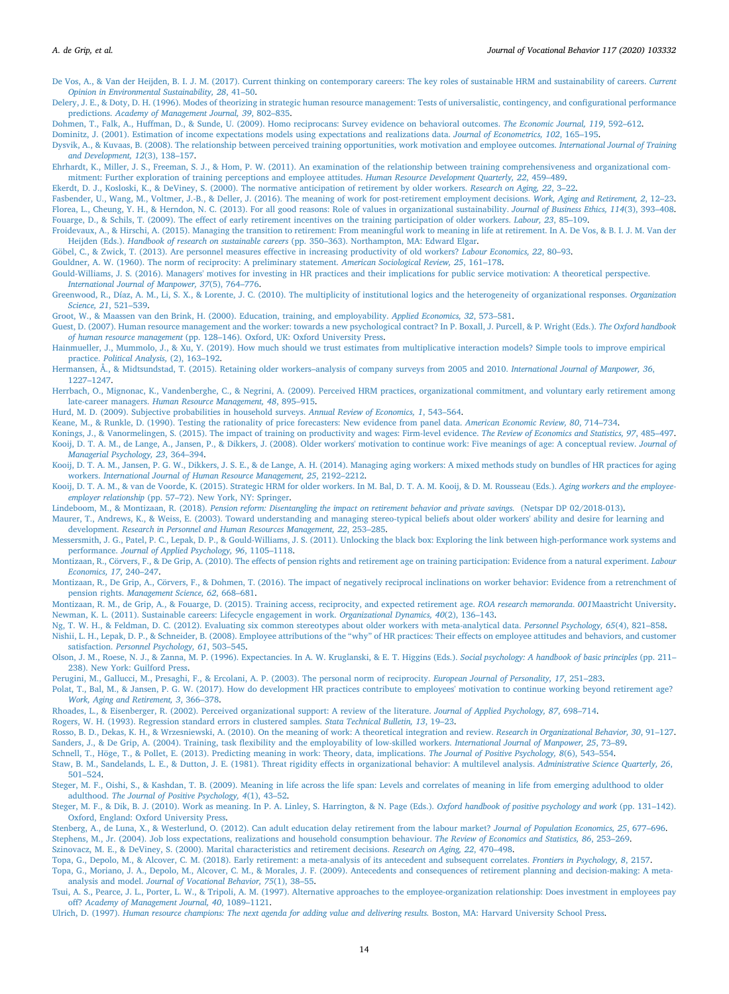<span id="page-14-41"></span>[De Vos, A., & Van der Heijden, B. I. J. M. \(2017\). Current thinking on contemporary careers: The key roles of sustainable HRM and sustainability of careers.](http://refhub.elsevier.com/S0001-8791(19)30104-6/rf0140) *Current [Opinion in Environmental Sustainability, 28](http://refhub.elsevier.com/S0001-8791(19)30104-6/rf0140)*, 41–50.

<span id="page-14-49"></span>[Delery, J. E., & Doty, D. H. \(1996\). Modes of theorizing in strategic human resource management: Tests of universalistic, contingency, and configurational performance](http://refhub.elsevier.com/S0001-8791(19)30104-6/rf0145) predictions. *[Academy of Management Journal, 39](http://refhub.elsevier.com/S0001-8791(19)30104-6/rf0145)*, 802–835.

<span id="page-14-35"></span>[Dohmen, T., Falk, A., Huffman, D., & Sunde, U. \(2009\). Homo reciprocans: Survey evidence on behavioral outcomes.](http://refhub.elsevier.com/S0001-8791(19)30104-6/rf0150) *The Economic Journal, 119*, 592–612.

<span id="page-14-30"></span>[Dominitz, J. \(2001\). Estimation of income expectations models using expectations and realizations data.](http://refhub.elsevier.com/S0001-8791(19)30104-6/rf0155) *Journal of Econometrics, 102*, 165–195.

<span id="page-14-7"></span>[Dysvik, A., & Kuvaas, B. \(2008\). The relationship between perceived training opportunities, work motivation and employee outcomes.](http://refhub.elsevier.com/S0001-8791(19)30104-6/rf0160) *International Journal of Training [and Development, 12](http://refhub.elsevier.com/S0001-8791(19)30104-6/rf0160)*(3), 138–157.

<span id="page-14-24"></span>[Ehrhardt, K., Miller, J. S., Freeman, S. J., & Hom, P. W. \(2011\). An examination of the relationship between training comprehensiveness and organizational com](http://refhub.elsevier.com/S0001-8791(19)30104-6/rf0170)[mitment: Further exploration of training perceptions and employee attitudes.](http://refhub.elsevier.com/S0001-8791(19)30104-6/rf0170) *Human Resource Development Quarterly, 22*, 459–489.

<span id="page-14-29"></span>[Ekerdt, D. J., Kosloski, K., & DeViney, S. \(2000\). The normative anticipation of retirement by older workers.](http://refhub.elsevier.com/S0001-8791(19)30104-6/rf0175) *Research on Aging, 22*, 3–22.

<span id="page-14-28"></span><span id="page-14-10"></span>[Fasbender, U., Wang, M., Voltmer, J.-B., & Deller, J. \(2016\). The meaning of work for post-retirement employment decisions.](http://refhub.elsevier.com/S0001-8791(19)30104-6/rf0180) *Work, Aging and Retirement, 2*, 12–23. [Florea, L., Cheung, Y. H., & Herndon, N. C. \(2013\). For all good reasons: Role of values in organizational sustainability.](http://refhub.elsevier.com/S0001-8791(19)30104-6/rf9030) *Journal of Business Ethics, 114*(3), 393–408. [Fouarge, D., & Schils, T. \(2009\). The effect of early retirement incentives on the training participation of older workers.](http://refhub.elsevier.com/S0001-8791(19)30104-6/rf0185) *Labour, 23*, 85–109.

<span id="page-14-43"></span><span id="page-14-3"></span>[Froidevaux, A., & Hirschi, A. \(2015\). Managing the transition to retirement: From meaningful work to meaning in life at retirement. In A. De Vos, & B. I. J. M. Van der](http://refhub.elsevier.com/S0001-8791(19)30104-6/rf0190) Heijden (Eds.). *Handbook of research on sustainable careers* [\(pp. 350–363\). Northampton, MA: Edward Elgar](http://refhub.elsevier.com/S0001-8791(19)30104-6/rf0190).

<span id="page-14-6"></span>[Göbel, C., & Zwick, T. \(2013\). Are personnel measures effective in increasing productivity of old workers?](http://refhub.elsevier.com/S0001-8791(19)30104-6/rf0195) *Labour Economics, 22*, 80–93.

<span id="page-14-19"></span>[Gouldner, A. W. \(1960\). The norm of reciprocity: A preliminary statement.](http://refhub.elsevier.com/S0001-8791(19)30104-6/rf0200) *American Sociological Review, 25*, 161–178.

<span id="page-14-26"></span>[Gould-Williams, J. S. \(2016\). Managers' motives for investing in HR practices and their implications for public service motivation: A theoretical perspective.](http://refhub.elsevier.com/S0001-8791(19)30104-6/rf0205) *[International Journal of Manpower, 37](http://refhub.elsevier.com/S0001-8791(19)30104-6/rf0205)*(5), 764–776.

<span id="page-14-40"></span>[Greenwood, R., Díaz, A. M., Li, S. X., & Lorente, J. C. \(2010\). The multiplicity of institutional logics and the heterogeneity of organizational responses.](http://refhub.elsevier.com/S0001-8791(19)30104-6/rf0210) *Organization [Science, 21](http://refhub.elsevier.com/S0001-8791(19)30104-6/rf0210)*, 521–539.

<span id="page-14-44"></span>[Groot, W., & Maassen van den Brink, H. \(2000\). Education, training, and employability.](http://refhub.elsevier.com/S0001-8791(19)30104-6/rf0215) *Applied Economics, 32*, 573–581.

<span id="page-14-27"></span>[Guest, D. \(2007\). Human resource management and the worker: towards a new psychological contract? In P. Boxall, J. Purcell, & P. Wright \(Eds.\).](http://refhub.elsevier.com/S0001-8791(19)30104-6/rf9035) *The Oxford handbook of human resource management* [\(pp. 128–146\). Oxford, UK: Oxford University Press](http://refhub.elsevier.com/S0001-8791(19)30104-6/rf9035).

<span id="page-14-37"></span>[Hainmueller, J., Mummolo, J., & Xu, Y. \(2019\). How much should we trust estimates from multiplicative interaction models? Simple tools to improve empirical](http://refhub.elsevier.com/S0001-8791(19)30104-6/rf0220) practice. *[Political Analysis,](http://refhub.elsevier.com/S0001-8791(19)30104-6/rf0220)* (2), 163–192.

<span id="page-14-18"></span>[Hermansen, Å., & Midtsundstad, T. \(2015\). Retaining older workers–analysis of company surveys from 2005 and 2010.](http://refhub.elsevier.com/S0001-8791(19)30104-6/rf0225) *International Journal of Manpower, 36*, [1227–1247.](http://refhub.elsevier.com/S0001-8791(19)30104-6/rf0225)

<span id="page-14-4"></span>[Herrbach, O., Mignonac, K., Vandenberghe, C., & Negrini, A. \(2009\). Perceived HRM practices, organizational commitment, and voluntary early retirement among](http://refhub.elsevier.com/S0001-8791(19)30104-6/rf0230) late-career managers. *[Human Resource Management, 48](http://refhub.elsevier.com/S0001-8791(19)30104-6/rf0230)*, 895–915.

<span id="page-14-31"></span>[Hurd, M. D. \(2009\). Subjective probabilities in household surveys.](http://refhub.elsevier.com/S0001-8791(19)30104-6/rf0235) *Annual Review of Economics, 1*, 543–564.

<span id="page-14-32"></span>[Keane, M., & Runkle, D. \(1990\). Testing the rationality of price forecasters: New evidence from panel data.](http://refhub.elsevier.com/S0001-8791(19)30104-6/rf0240) *American Economic Review, 80*, 714–734.

<span id="page-14-23"></span><span id="page-14-17"></span>[Konings, J., & Vanormelingen, S. \(2015\). The impact of training on productivity and wages: Firm-level evidence.](http://refhub.elsevier.com/S0001-8791(19)30104-6/rf0245) *The Review of Economics and Statistics, 97*, 485–497. [Kooij, D. T. A. M., de Lange, A., Jansen, P., & Dikkers, J. \(2008\). Older workers' motivation to continue work: Five meanings of age: A conceptual review.](http://refhub.elsevier.com/S0001-8791(19)30104-6/rf0250) *Journal of [Managerial Psychology, 23](http://refhub.elsevier.com/S0001-8791(19)30104-6/rf0250)*, 364–394.

<span id="page-14-47"></span>[Kooij, D. T. A. M., Jansen, P. G. W., Dikkers, J. S. E., & de Lange, A. H. \(2014\). Managing aging workers: A mixed methods study on bundles of HR practices for aging](http://refhub.elsevier.com/S0001-8791(19)30104-6/rf0255) workers. *[International Journal of Human Resource Management, 25](http://refhub.elsevier.com/S0001-8791(19)30104-6/rf0255)*, 2192–2212.

<span id="page-14-0"></span>[Kooij, D. T. A. M., & van de Voorde, K. \(2015\). Strategic HRM for older workers. In M. Bal, D. T. A. M. Kooij, & D. M. Rousseau \(Eds.\).](http://refhub.elsevier.com/S0001-8791(19)30104-6/rf0260) *Aging workers and the employeeemployer relationship* [\(pp. 57–72\). New York, NY: Springer](http://refhub.elsevier.com/S0001-8791(19)30104-6/rf0260).

<span id="page-14-34"></span>Lindeboom, M., & Montizaan, R. (2018). *[Pension reform: Disentangling the impact on retirement behavior and private savings.](http://refhub.elsevier.com/S0001-8791(19)30104-6/rf0270)* (Netspar DP 02/2018-013).

<span id="page-14-20"></span>[Maurer, T., Andrews, K., & Weiss, E. \(2003\). Toward understanding and managing stereo-typical beliefs about older workers' ability and desire for learning and](http://refhub.elsevier.com/S0001-8791(19)30104-6/rf0275) development. *[Research in Personnel and Human Resources Management, 22](http://refhub.elsevier.com/S0001-8791(19)30104-6/rf0275)*, 253–285.

<span id="page-14-46"></span>[Messersmith, J. G., Patel, P. C., Lepak, D. P., & Gould-Williams, J. S. \(2011\). Unlocking the black box: Exploring the link between high-performance work systems and](http://refhub.elsevier.com/S0001-8791(19)30104-6/rf0280) performance. *[Journal of Applied Psychology, 96](http://refhub.elsevier.com/S0001-8791(19)30104-6/rf0280)*, 1105–1118.

<span id="page-14-36"></span>[Montizaan, R., De Grip, A., Cörvers, F., & Dohmen, T. \(2016\). The impact of negatively reciprocal inclinations on worker behavior: Evidence from a retrenchment of](http://refhub.elsevier.com/S0001-8791(19)30104-6/rf0290) pension rights. *[Management Science, 62](http://refhub.elsevier.com/S0001-8791(19)30104-6/rf0290)*, 668–681.

<span id="page-14-42"></span><span id="page-14-16"></span>[Montizaan, R. M., de Grip, A., & Fouarge, D. \(2015\). Training access, reciprocity, and expected retirement age.](http://refhub.elsevier.com/S0001-8791(19)30104-6/rf0295) *ROA research memoranda*. *001*Maastricht University. [Newman, K. L. \(2011\). Sustainable careers: Lifecycle engagement in work.](http://refhub.elsevier.com/S0001-8791(19)30104-6/rf0300) *Organizational Dynamics, 40*(2), 136–143.

<span id="page-14-21"></span>[Ng, T. W. H., & Feldman, D. C. \(2012\). Evaluating six common stereotypes about older workers with meta-analytical data.](http://refhub.elsevier.com/S0001-8791(19)30104-6/rf0305) *Personnel Psychology, 65*(4), 821–858.

<span id="page-14-48"></span>[Nishii, L. H., Lepak, D. P., & Schneider, B. \(2008\). Employee attributions of the "why" of HR practices: Their effects on employee attitudes and behaviors, and customer](http://refhub.elsevier.com/S0001-8791(19)30104-6/rf0310) satisfaction. *[Personnel Psychology, 61](http://refhub.elsevier.com/S0001-8791(19)30104-6/rf0310)*, 503–545.

<span id="page-14-52"></span>[Olson, J. M., Roese, N. J., & Zanna, M. P. \(1996\). Expectancies. In A. W. Kruglanski, & E. T. Higgins \(Eds.\).](http://refhub.elsevier.com/S0001-8791(19)30104-6/rf0315) *Social psychology: A handbook of basic principles* (pp. 211– [238\). New York: Guilford Press](http://refhub.elsevier.com/S0001-8791(19)30104-6/rf0315).

<span id="page-14-9"></span>[Perugini, M., Gallucci, M., Presaghi, F., & Ercolani, A. P. \(2003\). The personal norm of reciprocity.](http://refhub.elsevier.com/S0001-8791(19)30104-6/rf0320) *European Journal of Personality, 17*, 251–283.

<span id="page-14-2"></span>[Polat, T., Bal, M., & Jansen, P. G. W. \(2017\). How do development HR practices contribute to employees' motivation to continue working beyond retirement age?](http://refhub.elsevier.com/S0001-8791(19)30104-6/rf0330) *[Work, Aging and Retirement, 3](http://refhub.elsevier.com/S0001-8791(19)30104-6/rf0330)*, 366–378.

<span id="page-14-25"></span>[Rhoades, L., & Eisenberger, R. \(2002\). Perceived organizational support: A review of the literature.](http://refhub.elsevier.com/S0001-8791(19)30104-6/rf0335) *Journal of Applied Psychology, 87*, 698–714.

<span id="page-14-39"></span>[Rogers, W. H. \(1993\). Regression standard errors in clustered samples.](http://refhub.elsevier.com/S0001-8791(19)30104-6/rf0340) *Stata Technical Bulletin, 13*, 19–23.

<span id="page-14-45"></span><span id="page-14-13"></span>[Rosso, B. D., Dekas, K. H., & Wrzesniewski, A. \(2010\). On the meaning of work: A theoretical integration and review.](http://refhub.elsevier.com/S0001-8791(19)30104-6/rf9040) *Research in Organizational Behavior, 30*, 91–127. [Sanders, J., & De Grip, A. \(2004\). Training, task flexibility and the employability of low-skilled workers.](http://refhub.elsevier.com/S0001-8791(19)30104-6/rf0345) *International Journal of Manpower, 25*, 73–89.

<span id="page-14-14"></span>[Schnell, T., Höge, T., & Pollet, E. \(2013\). Predicting meaning in work: Theory, data, implications.](http://refhub.elsevier.com/S0001-8791(19)30104-6/rf9045) *The Journal of Positive Psychology, 8*(6), 543–554.

<span id="page-14-50"></span>[Staw, B. M., Sandelands, L. E., & Dutton, J. E. \(1981\). Threat rigidity effects in organizational behavior: A multilevel analysis.](http://refhub.elsevier.com/S0001-8791(19)30104-6/rf0350) *Administrative Science Quarterly, 26*, [501–524.](http://refhub.elsevier.com/S0001-8791(19)30104-6/rf0350)

<span id="page-14-1"></span>[Steger, M. F., Oishi, S., & Kashdan, T. B. \(2009\). Meaning in life across the life span: Levels and correlates of meaning in life from emerging adulthood to older](http://refhub.elsevier.com/S0001-8791(19)30104-6/rf9055) adulthood. *[The Journal of Positive Psychology, 4](http://refhub.elsevier.com/S0001-8791(19)30104-6/rf9055)*(1), 43–52.

<span id="page-14-15"></span>[Steger, M. F., & Dik, B. J. \(2010\). Work as meaning. In P. A. Linley, S. Harrington, & N. Page \(Eds.\).](http://refhub.elsevier.com/S0001-8791(19)30104-6/rf9050) *Oxford handbook of positive psychology and work* (pp. 131–142). [Oxford, England: Oxford University Press.](http://refhub.elsevier.com/S0001-8791(19)30104-6/rf9050)

<span id="page-14-33"></span><span id="page-14-5"></span>[Stenberg, A., de Luna, X., & Westerlund, O. \(2012\). Can adult education delay retirement from the labour market?](http://refhub.elsevier.com/S0001-8791(19)30104-6/rf0355) *Journal of Population Economics, 25*, 677–696. [Stephens, M., Jr. \(2004\). Job loss expectations, realizations and household consumption behaviour.](http://refhub.elsevier.com/S0001-8791(19)30104-6/rf0360) *The Review of Economics and Statistics, 86*, 253–269. [Szinovacz, M. E., & DeViney, S. \(2000\). Marital characteristics and retirement decisions.](http://refhub.elsevier.com/S0001-8791(19)30104-6/rf0365) *Research on Aging, 22*, 470–498.

<span id="page-14-38"></span><span id="page-14-11"></span>[Topa, G., Depolo, M., & Alcover, C. M. \(2018\). Early retirement: a meta-analysis of its antecedent and subsequent correlates.](http://refhub.elsevier.com/S0001-8791(19)30104-6/rf9060) *Frontiers in Psychology, 8*, 2157.

<span id="page-14-12"></span>[Topa, G., Moriano, J. A., Depolo, M., Alcover, C. M., & Morales, J. F. \(2009\). Antecedents and consequences of retirement planning and decision-making: A meta-](http://refhub.elsevier.com/S0001-8791(19)30104-6/rf9065)

analysis and model. *[Journal of Vocational Behavior, 75](http://refhub.elsevier.com/S0001-8791(19)30104-6/rf9065)*(1), 38–55.

<span id="page-14-22"></span>[Tsui, A. S., Pearce, J. L., Porter, L. W., & Tripoli, A. M. \(1997\). Alternative approaches to the employee-organization relationship: Does investment in employees pay](http://refhub.elsevier.com/S0001-8791(19)30104-6/rf0370) off? *[Academy of Management Journal, 40](http://refhub.elsevier.com/S0001-8791(19)30104-6/rf0370)*, 1089–1121.

<span id="page-14-51"></span>Ulrich, D. (1997). *[Human resource champions: The next agenda for adding value and delivering results.](http://refhub.elsevier.com/S0001-8791(19)30104-6/rf0375)* Boston, MA: Harvard University School Press.

<span id="page-14-8"></span>[Montizaan, R., Cörvers, F., & De Grip, A. \(2010\). The effects of pension rights and retirement age on training participation: Evidence from a natural experiment.](http://refhub.elsevier.com/S0001-8791(19)30104-6/rf0285) *Labour [Economics, 17](http://refhub.elsevier.com/S0001-8791(19)30104-6/rf0285)*, 240–247.